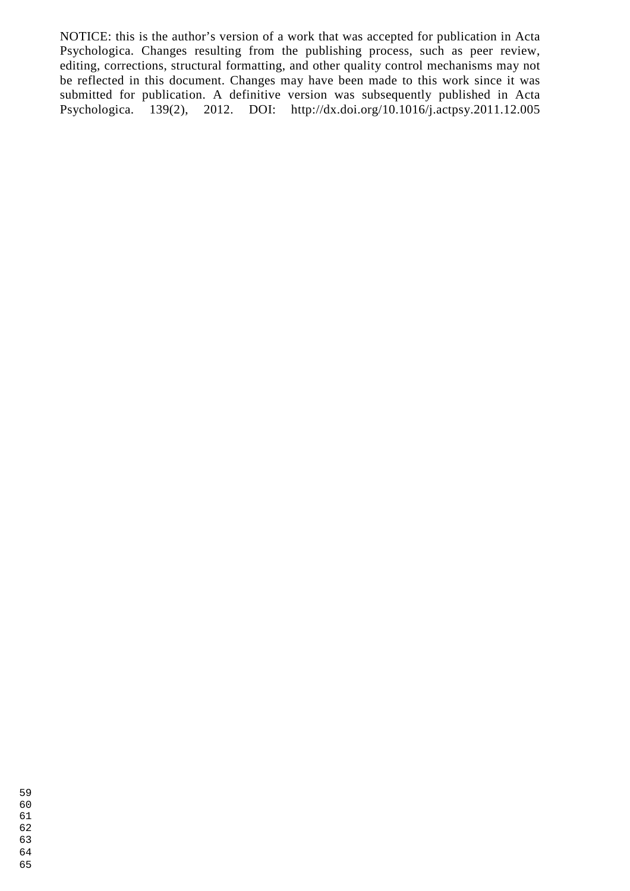NOTICE: this is the author's version of a work that was accepted for publication in Acta Psychologica. Changes resulting from the publishing process, such as peer review, editing, corrections, structural formatting, and other quality control mechanisms may not be reflected in this document. Changes may have been made to this work since it was submitted for publication. A definitive version was subsequently published in Acta Psychologica. 139(2), 2012. DOI: http://dx.doi.org/10.1016/j.actpsy.2011.12.005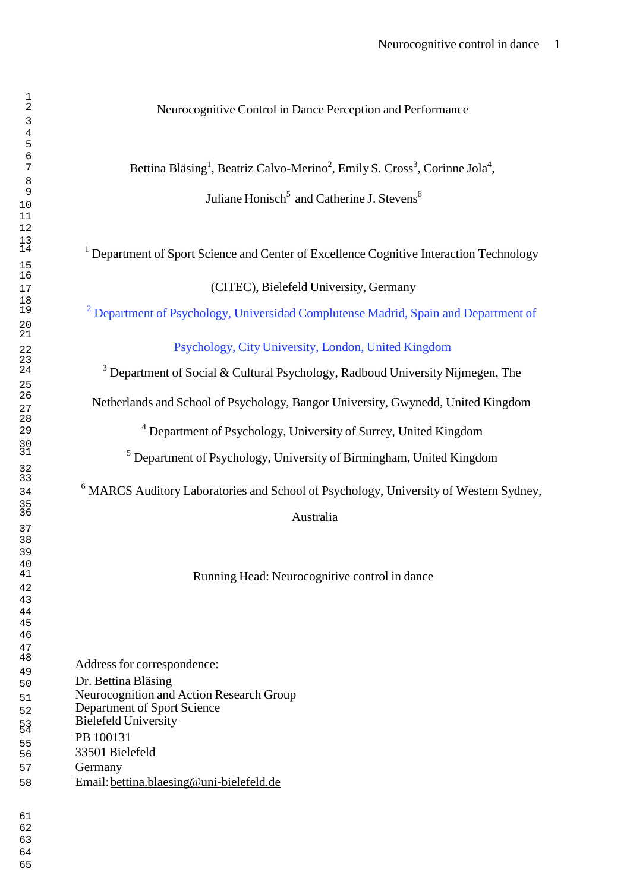# Neurocognitive Control in Dance Perception and Performance

<sup>7</sup> Bettina Bläsing<sup>1</sup>, Beatriz Calvo-Merino<sup>2</sup>, Emily S. Cross<sup>3</sup>, Corinne Jola<sup>4</sup>,

<sup>9</sup><br>Juliane Honisch<sup>5</sup> and Catherine J. Stevens<sup>6</sup>

<sup>1</sup> Department of Sport Science and Center of Excellence Cognitive Interaction Technology

(CITEC), Bielefeld University, Germany

<sup>2</sup> Department of Psychology, Universidad Complutense Madrid, Spain and Department of

Psychology, City University, London, United Kingdom

<sup>3</sup> Department of Social & Cultural Psychology, Radboud University Nijmegen, The

Netherlands and School of Psychology, Bangor University, Gwynedd, United Kingdom

<sup>4</sup>Department of Psychology, University of Surrey, United Kingdom

 $<sup>5</sup>$  Department of Psychology, University of Birmingham, United Kingdom</sup>

<sup>6</sup>MARCS Auditory Laboratories and School of Psychology, University of Western Sydney,

36<br>Australia

Running Head: Neurocognitive control in dance

Address for correspondence:

- Dr. Bettina Bläsing
- 51 Neurocognition and Action Research Group
- Department of Sport Science
- Bielefeld University
- PB 100131
- 33501 Bielefeld
- Germany
- Email: bettina.blaesing@uni-bielefeld.de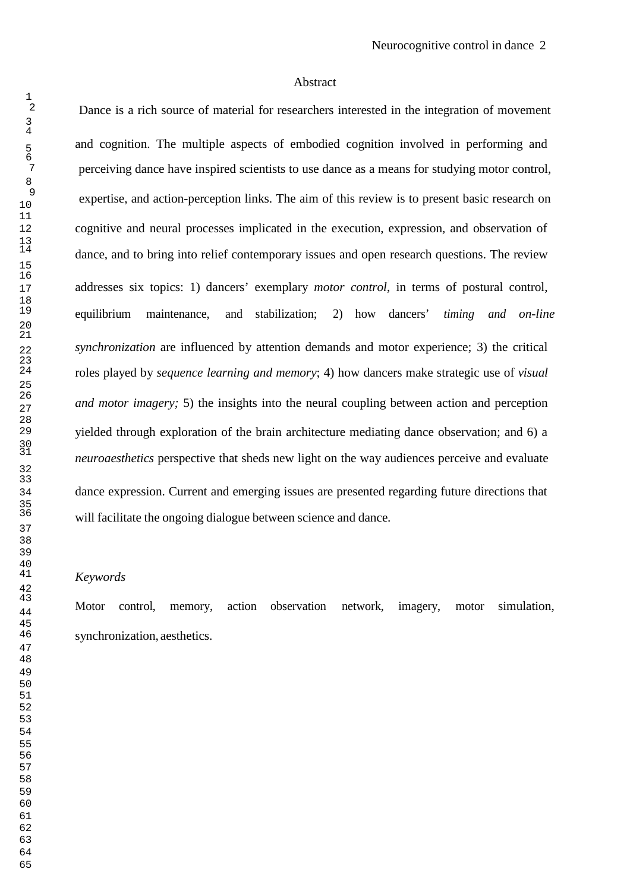#### Abstract

Dance is a rich source of material for researchers interested in the integration of movement and cognition. The multiple aspects of embodied cognition involved in performing and perceiving dance have inspired scientists to use dance as a means for studying motor control, expertise, and action-perception links. The aim of this review is to present basic research on cognitive and neural processes implicated in the execution, expression, and observation of dance, and to bring into relief contemporary issues and open research questions. The review addresses six topics: 1) dancers' exemplary *motor control*, in terms of postural control, equilibrium maintenance, and stabilization; 2) how dancers' *timing and on-line synchronization* are influenced by attention demands and motor experience; 3) the critical roles played by *sequence learning and memory*; 4) how dancers make strategic use of *visual and motor imagery;* 5) the insights into the neural coupling between action and perception yielded through exploration of the brain architecture mediating dance observation; and 6) a *neuroaesthetics* perspective that sheds new light on the way audiences perceive and evaluate dance expression. Current and emerging issues are presented regarding future directions that will facilitate the ongoing dialogue between science and dance.

#### *Keywords*

Motor control, memory, action observation network, imagery, motor simulation, synchronization, aesthetics.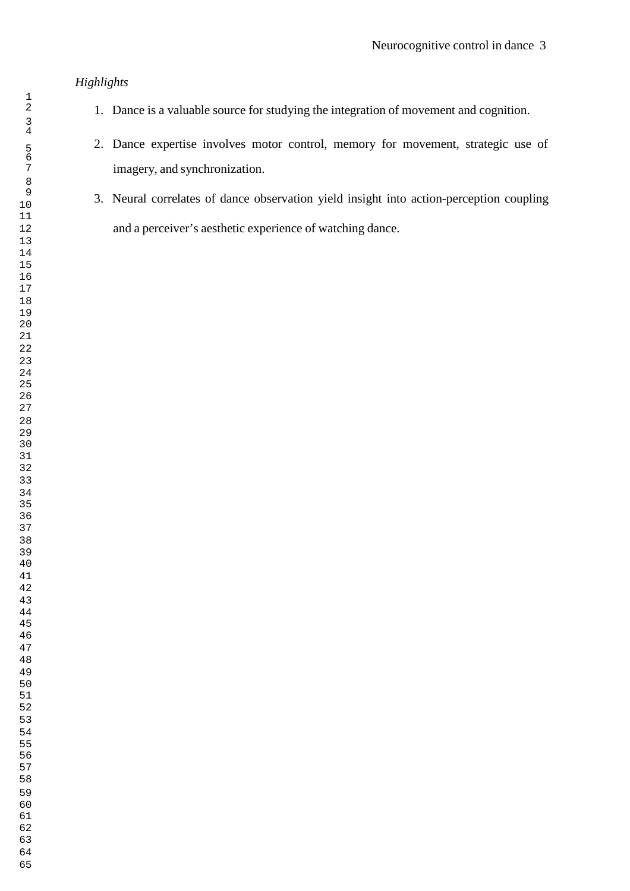# *Highlights*

- 1. Dance is a valuable source for studying the integration of movement and cognition.
- 2. Dance expertise involves motor control, memory for movement, strategic use of imagery, and synchronization.
- 3. Neural correlates of dance observation yield insight into action-perception coupling and a perceiver's aesthetic experience of watching dance.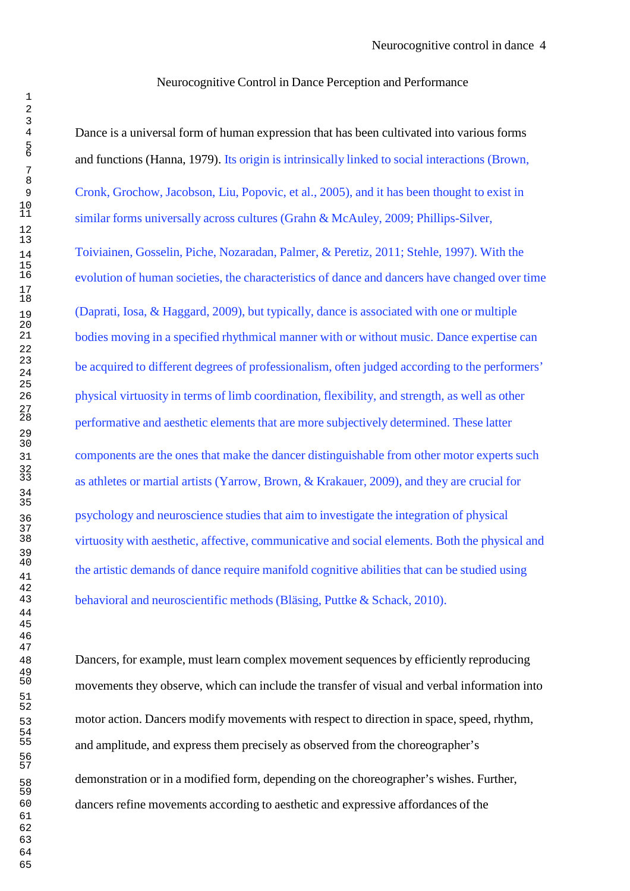Neurocognitive Control in Dance Perception and Performance

Dance is a universal form of human expression that has been cultivated into various forms and functions (Hanna, 1979). Its origin is intrinsically linked to social interactions (Brown, Cronk, Grochow, Jacobson, Liu, Popovic, et al., 2005), and it has been thought to exist in similar forms universally across cultures (Grahn & McAuley, 2009; Phillips-Silver,

Toiviainen, Gosselin, Piche, Nozaradan, Palmer, & Peretiz, 2011; Stehle, 1997). With the evolution of human societies, the characteristics of dance and dancers have changed over time (Daprati, Iosa, & Haggard, 2009), but typically, dance is associated with one or multiple bodies moving in a specified rhythmical manner with or without music. Dance expertise can be acquired to different degrees of professionalism, often judged according to the performers' physical virtuosity in terms of limb coordination, flexibility, and strength, as well as other performative and aesthetic elements that are more subjectively determined. These latter components are the ones that make the dancer distinguishable from other motor experts such as athletes or martial artists (Yarrow, Brown, & Krakauer, 2009), and they are crucial for psychology and neuroscience studies that aim to investigate the integration of physical virtuosity with aesthetic, affective, communicative and social elements. Both the physical and the artistic demands of dance require manifold cognitive abilities that can be studied using behavioral and neuroscientific methods (Bläsing, Puttke & Schack, 2010).

Dancers, for example, must learn complex movement sequences by efficiently reproducing movements they observe, which can include the transfer of visual and verbal information into motor action. Dancers modify movements with respect to direction in space, speed, rhythm, and amplitude, and express them precisely as observed from the choreographer's

> demonstration or in a modified form, depending on the choreographer's wishes. Further, dancers refine movements according to aesthetic and expressive affordances of the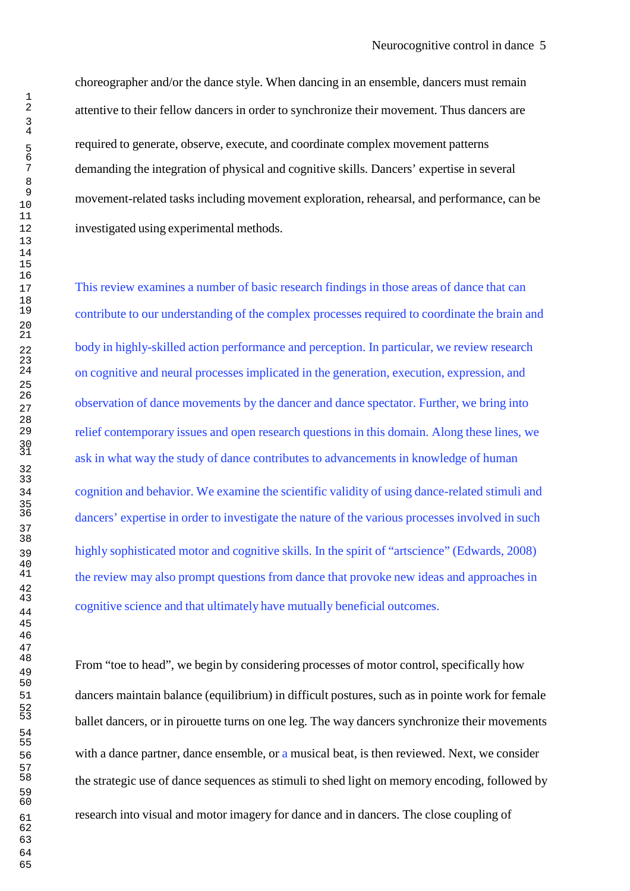choreographer and/or the dance style. When dancing in an ensemble, dancers must remain attentive to their fellow dancers in order to synchronize their movement. Thus dancers are required to generate, observe, execute, and coordinate complex movement patterns demanding the integration of physical and cognitive skills. Dancers' expertise in several movement-related tasks including movement exploration, rehearsal, and performance, can be investigated using experimental methods.

This review examines a number of basic research findings in those areas of dance that can contribute to our understanding of the complex processes required to coordinate the brain and body in highly-skilled action performance and perception. In particular, we review research on cognitive and neural processes implicated in the generation, execution, expression, and observation of dance movements by the dancer and dance spectator. Further, we bring into relief contemporary issues and open research questions in this domain. Along these lines, we ask in what way the study of dance contributes to advancements in knowledge of human cognition and behavior. We examine the scientific validity of using dance-related stimuli and dancers' expertise in order to investigate the nature of the various processes involved in such highly sophisticated motor and cognitive skills. In the spirit of "artscience" (Edwards, 2008) the review may also prompt questions from dance that provoke new ideas and approaches in cognitive science and that ultimately have mutually beneficial outcomes.

From "toe to head", we begin by considering processes of motor control, specifically how dancers maintain balance (equilibrium) in difficult postures, such as in pointe work for female ballet dancers, or in pirouette turns on one leg. The way dancers synchronize their movements 56 with a dance partner, dance ensemble, or a musical beat, is then reviewed. Next, we consider the strategic use of dance sequences as stimuli to shed light on memory encoding, followed by research into visual and motor imagery for dance and in dancers. The close coupling of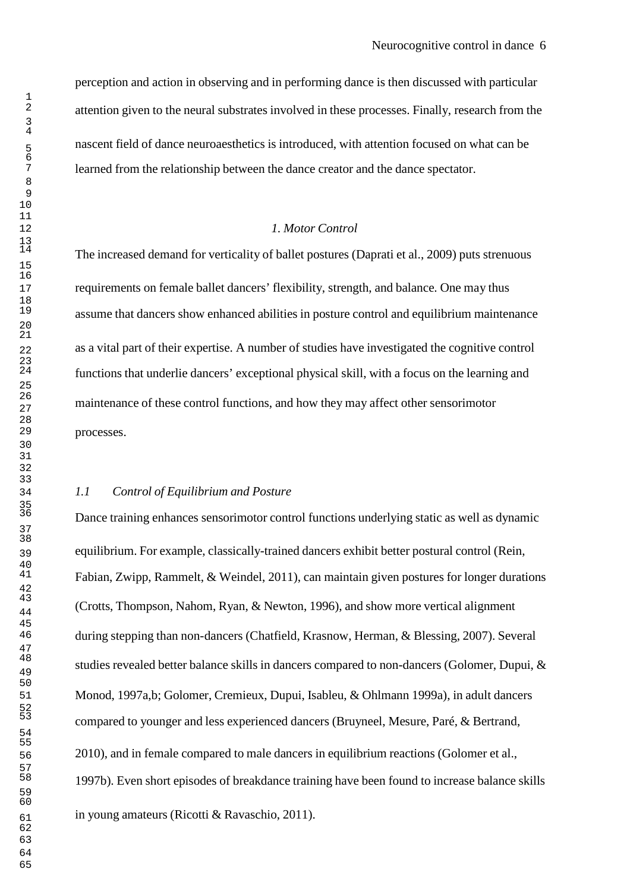perception and action in observing and in performing dance is then discussed with particular attention given to the neural substrates involved in these processes. Finally, research from the nascent field of dance neuroaesthetics is introduced, with attention focused on what can be learned from the relationship between the dance creator and the dance spectator.

#### *1. Motor Control*

The increased demand for verticality of ballet postures (Daprati et al., 2009) puts strenuous requirements on female ballet dancers' flexibility, strength, and balance. One may thus assume that dancers show enhanced abilities in posture control and equilibrium maintenance as a vital part of their expertise. A number of studies have investigated the cognitive control functions that underlie dancers' exceptional physical skill, with a focus on the learning and maintenance of these control functions, and how they may affect other sensorimotor processes.

#### *1.1 Control of Equilibrium and Posture*

Dance training enhances sensorimotor control functions underlying static as well as dynamic equilibrium. For example, classically-trained dancers exhibit better postural control (Rein, Fabian, Zwipp, Rammelt, & Weindel, 2011), can maintain given postures for longer durations (Crotts, Thompson, Nahom, Ryan, & Newton, 1996), and show more vertical alignment during stepping than non-dancers (Chatfield, Krasnow, Herman, & Blessing, 2007). Several studies revealed better balance skills in dancers compared to non-dancers (Golomer, Dupui,  $\&$ Monod, 1997a,b; Golomer, Cremieux, Dupui, Isableu, & Ohlmann 1999a), in adult dancers compared to younger and less experienced dancers (Bruyneel, Mesure, Paré, & Bertrand, 2010), and in female compared to male dancers in equilibrium reactions (Golomer et al., 1997b). Even short episodes of breakdance training have been found to increase balance skills in young amateurs (Ricotti & Ravaschio, 2011).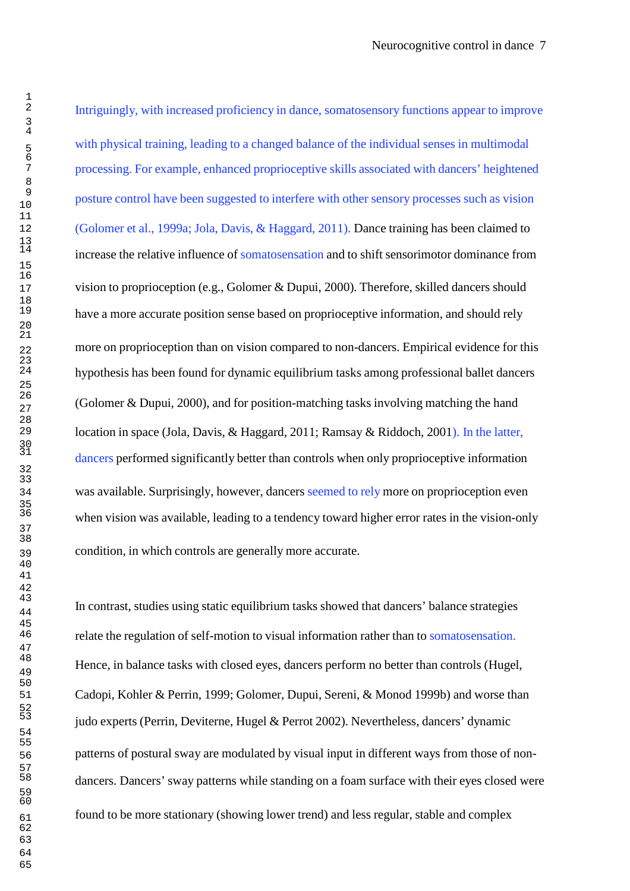Intriguingly, with increased proficiency in dance, somatosensory functions appear to improve with physical training, leading to a changed balance of the individual senses in multimodal 7 processing. For example, enhanced proprioceptive skills associated with dancers' heightened <sup>9</sup>posture control have been suggested to interfere with other sensory processes such as vision 12 (Golomer et al., 1999a; Jola, Davis, & Haggard, 2011). Dance training has been claimed to increase the relative influence of somatosensation and to shift sensorimotor dominance from 17 vision to proprioception (e.g., Golomer & Dupui, 2000). Therefore, skilled dancers should have a more accurate position sense based on proprioceptive information, and should rely more on proprioception than on vision compared to non-dancers. Empirical evidence for this hypothesis has been found for dynamic equilibrium tasks among professional ballet dancers <sup>26</sup>(Golomer & Dupui, 2000), and for position-matching tasks involving matching the hand location in space (Jola, Davis, & Haggard, 2011; Ramsay & Riddoch, 2001). In the latter, dancers performed significantly better than controls when only proprioceptive information 34 was available. Surprisingly, however, dancers seemed to rely more on proprioception even when vision was available, leading to a tendency toward higher error rates in the vision-only 39 condition, in which controls are generally more accurate.

In contrast, studies using static equilibrium tasks showed that dancers' balance strategies 46 relate the regulation of self-motion to visual information rather than to somatosensation. Hence, in balance tasks with closed eyes, dancers perform no better than controls (Hugel, Cadopi, Kohler & Perrin, 1999; Golomer, Dupui, Sereni, & Monod 1999b) and worse than judo experts (Perrin, Deviterne, Hugel & Perrot 2002). Nevertheless, dancers' dynamic 56 patterns of postural sway are modulated by visual input in different ways from those of nondancers. Dancers' sway patterns while standing on a foam surface with their eyes closed were 61 found to be more stationary (showing lower trend) and less regular, stable and complex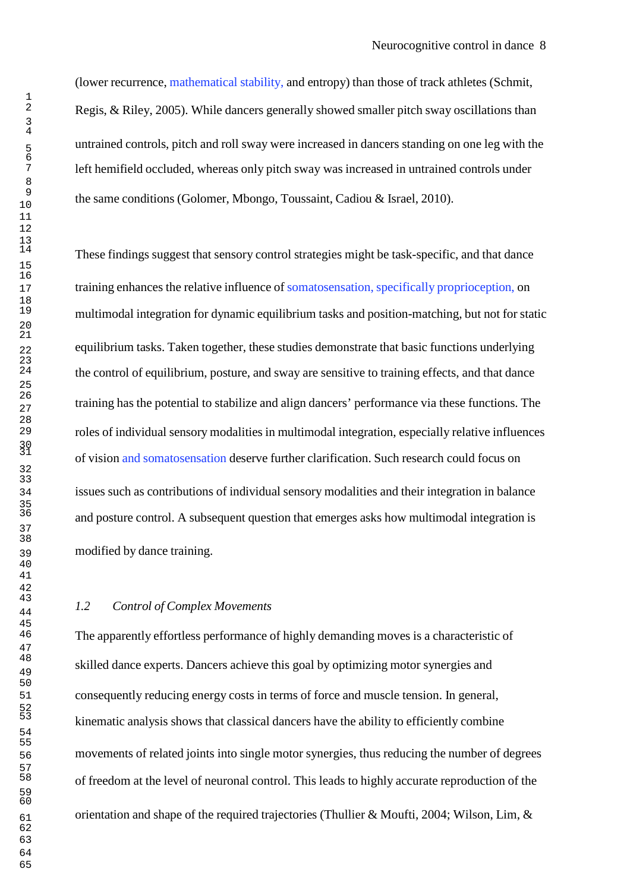(lower recurrence, mathematical stability, and entropy) than those of track athletes (Schmit, Regis, & Riley, 2005). While dancers generally showed smaller pitch sway oscillations than untrained controls, pitch and roll sway were increased in dancers standing on one leg with the left hemifield occluded, whereas only pitch sway was increased in untrained controls under the same conditions (Golomer, Mbongo, Toussaint, Cadiou & Israel, 2010).

These findings suggest that sensory control strategies might be task-specific, and that dance 17 training enhances the relative influence of somatosensation, specifically proprioception, on multimodal integration for dynamic equilibrium tasks and position-matching, but not for static equilibrium tasks. Taken together, these studies demonstrate that basic functions underlying the control of equilibrium, posture, and sway are sensitive to training effects, and that dance training has the potential to stabilize and align dancers' performance via these functions. The roles of individual sensory modalities in multimodal integration, especially relative influences of vision and somatosensation deserve further clarification. Such research could focus on issues such as contributions of individual sensory modalities and their integration in balance and posture control. A subsequent question that emerges asks how multimodal integration is modified by dance training.

#### *1.2 Control of Complex Movements*

The apparently effortless performance of highly demanding moves is a characteristic of skilled dance experts. Dancers achieve this goal by optimizing motor synergies and consequently reducing energy costs in terms of force and muscle tension. In general, kinematic analysis shows that classical dancers have the ability to efficiently combine movements of related joints into single motor synergies, thus reducing the number of degrees of freedom at the level of neuronal control. This leads to highly accurate reproduction of the orientation and shape of the required trajectories (Thullier & Moufti, 2004; Wilson, Lim, &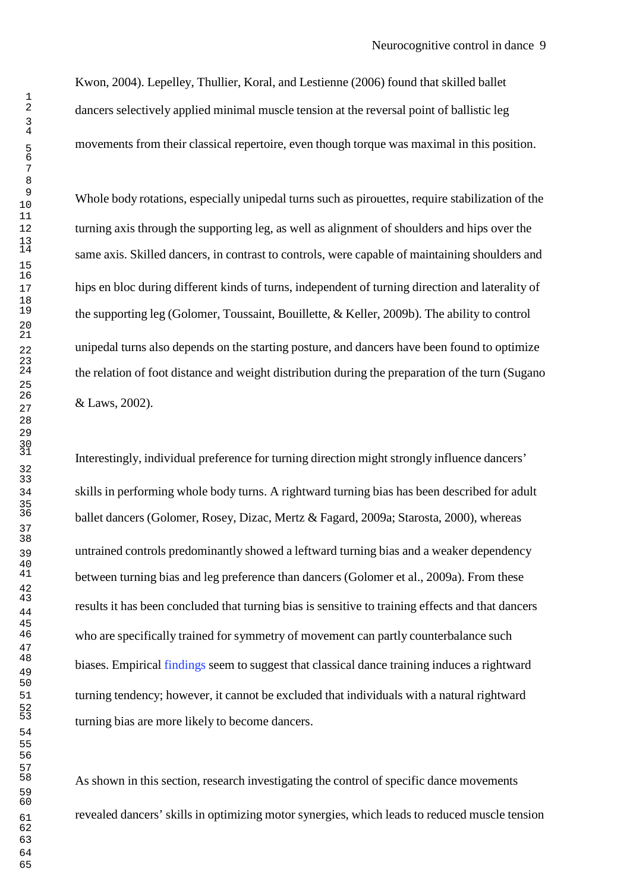Kwon, 2004). Lepelley, Thullier, Koral, and Lestienne (2006) found that skilled ballet dancers selectively applied minimal muscle tension at the reversal point of ballistic leg movements from their classical repertoire, even though torque was maximal in this position.

Whole body rotations, especially unipedal turns such as pirouettes, require stabilization of the turning axis through the supporting leg, as well as alignment of shoulders and hips over the same axis. Skilled dancers, in contrast to controls, were capable of maintaining shoulders and hips en bloc during different kinds of turns, independent of turning direction and laterality of the supporting leg (Golomer, Toussaint, Bouillette, & Keller, 2009b). The ability to control unipedal turns also depends on the starting posture, and dancers have been found to optimize the relation of foot distance and weight distribution during the preparation of the turn (Sugano & Laws, 2002).

Interestingly, individual preference for turning direction might strongly influence dancers' skills in performing whole body turns. A rightward turning bias has been described for adult ballet dancers (Golomer, Rosey, Dizac, Mertz & Fagard, 2009a; Starosta, 2000), whereas untrained controls predominantly showed a leftward turning bias and a weaker dependency between turning bias and leg preference than dancers (Golomer et al., 2009a). From these results it has been concluded that turning bias is sensitive to training effects and that dancers who are specifically trained for symmetry of movement can partly counterbalance such biases. Empirical findings seem to suggest that classical dance training induces a rightward turning tendency; however, it cannot be excluded that individuals with a natural rightward turning bias are more likely to become dancers.

As shown in this section, research investigating the control of specific dance movements revealed dancers' skills in optimizing motor synergies, which leads to reduced muscle tension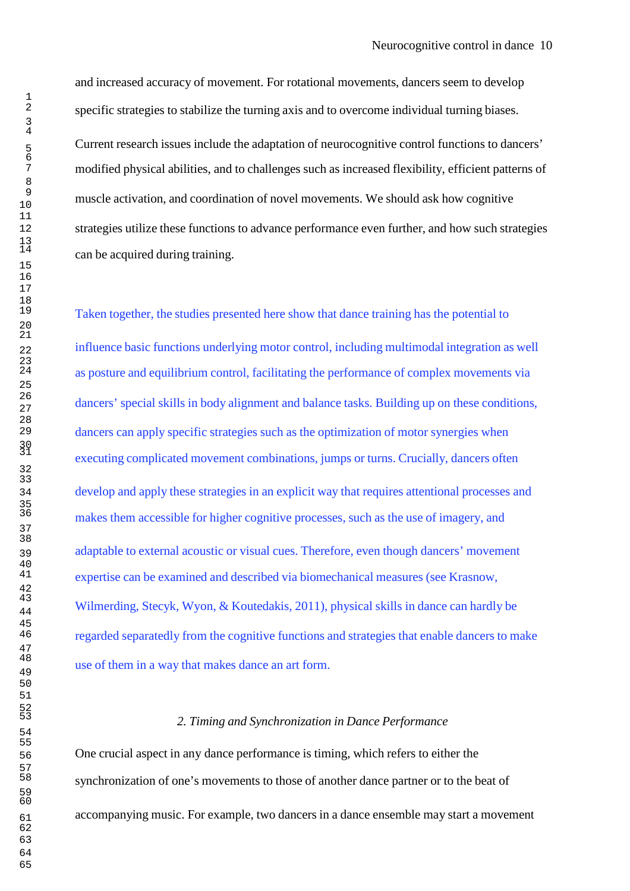and increased accuracy of movement. For rotational movements, dancers seem to develop 2 specific strategies to stabilize the turning axis and to overcome individual turning biases. <sup>5</sup>Current research issues include the adaptation of neurocognitive control functions to dancers' 7 modified physical abilities, and to challenges such as increased flexibility, efficient patterns of muscle activation, and coordination of novel movements. We should ask how cognitive strategies utilize these functions to advance performance even further, and how such strategies can be acquired during training.

Taken together, the studies presented here show that dance training has the potential to 22 influence basic functions underlying motor control, including multimodal integration as well as posture and equilibrium control, facilitating the performance of complex movements via dancers' special skills in body alignment and balance tasks. Building up on these conditions, dancers can apply specific strategies such as the optimization of motor synergies when executing complicated movement combinations, jumps or turns. Crucially, dancers often develop and apply these strategies in an explicit way that requires attentional processes and makes them accessible for higher cognitive processes, such as the use of imagery, and 39 adaptable to external acoustic or visual cues. Therefore, even though dancers' movement expertise can be examined and described via biomechanical measures (see Krasnow, Wilmerding, Stecyk, Wyon, & Koutedakis, 2011), physical skills in dance can hardly be 46 regarded separatedly from the cognitive functions and strategies that enable dancers to make use of them in a way that makes dance an art form.

### <sup>53</sup>*2. Timing and Synchronization in Dance Performance*

56 One crucial aspect in any dance performance is timing, which refers to either the synchronization of one's movements to those of another dance partner or to the beat of 61 accompanying music. For example, two dancers in a dance ensemble may start a movement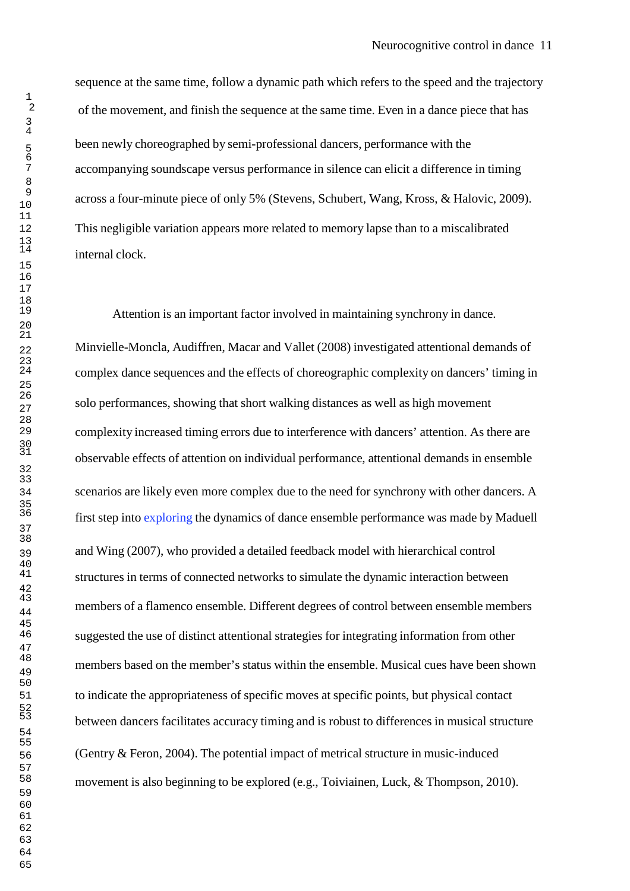sequence at the same time, follow a dynamic path which refers to the speed and the trajectory of the movement, and finish the sequence at the same time. Even in a dance piece that has been newly choreographed by semi-professional dancers, performance with the accompanying soundscape versus performance in silence can elicit a difference in timing across a four-minute piece of only 5% (Stevens, Schubert, Wang, Kross, & Halovic, 2009). This negligible variation appears more related to memory lapse than to a miscalibrated internal clock.

Attention is an important factor involved in maintaining synchrony in dance. Minvielle-Moncla, Audiffren, Macar and Vallet (2008) investigated attentional demands of complex dance sequences and the effects of choreographic complexity on dancers' timing in solo performances, showing that short walking distances as well as high movement complexity increased timing errors due to interference with dancers' attention. As there are observable effects of attention on individual performance, attentional demands in ensemble scenarios are likely even more complex due to the need for synchrony with other dancers. A first step into exploring the dynamics of dance ensemble performance was made by Maduell and Wing (2007), who provided a detailed feedback model with hierarchical control structures in terms of connected networks to simulate the dynamic interaction between members of a flamenco ensemble. Different degrees of control between ensemble members suggested the use of distinct attentional strategies for integrating information from other members based on the member's status within the ensemble. Musical cues have been shown to indicate the appropriateness of specific moves at specific points, but physical contact between dancers facilitates accuracy timing and is robust to differences in musical structure (Gentry & Feron, 2004). The potential impact of metrical structure in music-induced movement is also beginning to be explored (e.g., Toiviainen, Luck, & Thompson, 2010).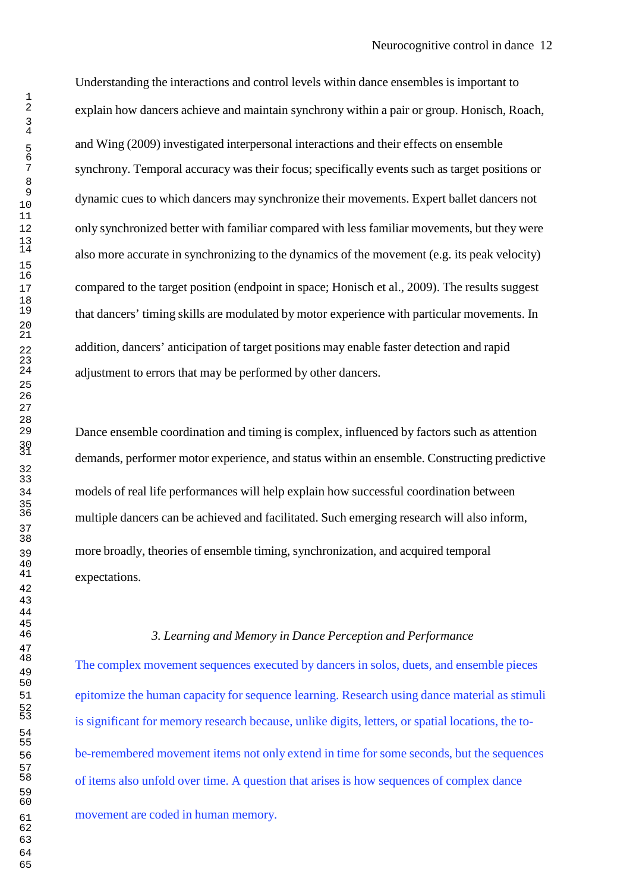Understanding the interactions and control levels within dance ensembles is important to explain how dancers achieve and maintain synchrony within a pair or group. Honisch, Roach, and Wing (2009) investigated interpersonal interactions and their effects on ensemble synchrony. Temporal accuracy was their focus; specifically events such as target positions or dynamic cues to which dancers may synchronize their movements. Expert ballet dancers not only synchronized better with familiar compared with less familiar movements, but they were also more accurate in synchronizing to the dynamics of the movement (e.g. its peak velocity) 17 compared to the target position (endpoint in space; Honisch et al., 2009). The results suggest that dancers' timing skills are modulated by motor experience with particular movements. In addition, dancers' anticipation of target positions may enable faster detection and rapid adjustment to errors that may be performed by other dancers.

Dance ensemble coordination and timing is complex, influenced by factors such as attention demands, performer motor experience, and status within an ensemble. Constructing predictive models of real life performances will help explain how successful coordination between multiple dancers can be achieved and facilitated. Such emerging research will also inform, more broadly, theories of ensemble timing, synchronization, and acquired temporal expectations.

#### *3. Learning and Memory in Dance Perception and Performance*

The complex movement sequences executed by dancers in solos, duets, and ensemble pieces epitomize the human capacity for sequence learning. Research using dance material as stimuli is significant for memory research because, unlike digits, letters, or spatial locations, the to-be-remembered movement items not only extend in time for some seconds, but the sequences of items also unfold over time. A question that arises is how sequences of complex dance movement are coded in human memory.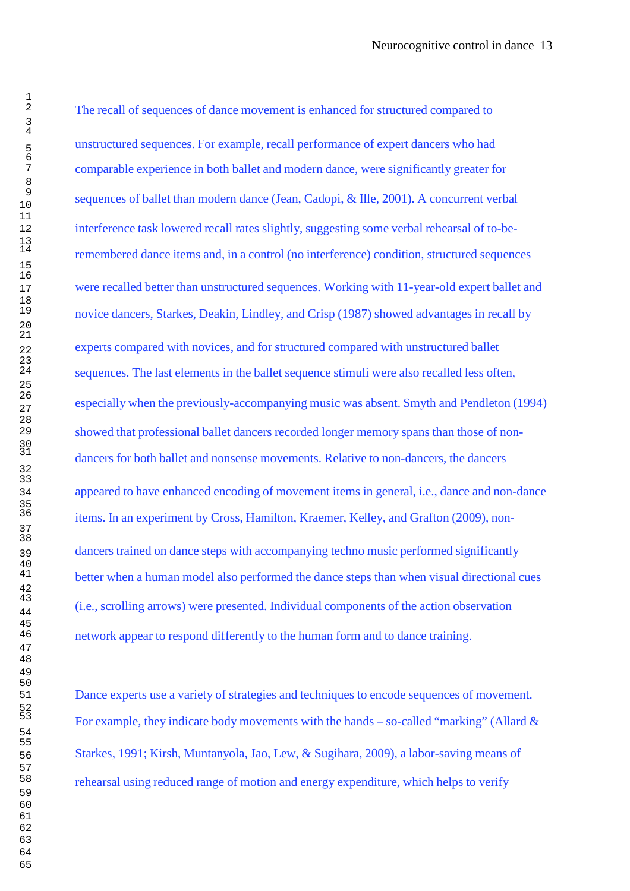The recall of sequences of dance movement is enhanced for structured compared to unstructured sequences. For example, recall performance of expert dancers who had comparable experience in both ballet and modern dance, were significantly greater for sequences of ballet than modern dance (Jean, Cadopi, & Ille, 2001). A concurrent verbal interference task lowered recall rates slightly, suggesting some verbal rehearsal of to-be-remembered dance items and, in a control (no interference) condition, structured sequences were recalled better than unstructured sequences. Working with 11-year-old expert ballet and novice dancers, Starkes, Deakin, Lindley, and Crisp (1987) showed advantages in recall by experts compared with novices, and for structured compared with unstructured ballet sequences. The last elements in the ballet sequence stimuli were also recalled less often, especially when the previously-accompanying music was absent. Smyth and Pendleton (1994) showed that professional ballet dancers recorded longer memory spans than those of nondancers for both ballet and nonsense movements. Relative to non-dancers, the dancers appeared to have enhanced encoding of movement items in general, i.e., dance and non-dance items. In an experiment by Cross, Hamilton, Kraemer, Kelley, and Grafton (2009), non-dancers trained on dance steps with accompanying techno music performed significantly better when a human model also performed the dance steps than when visual directional cues (i.e., scrolling arrows) were presented. Individual components of the action observation network appear to respond differently to the human form and to dance training.

Dance experts use a variety of strategies and techniques to encode sequences of movement. For example, they indicate body movements with the hands – so-called "marking" (Allard  $\&$ Starkes, 1991; Kirsh, Muntanyola, Jao, Lew, & Sugihara, 2009), a labor-saving means of rehearsal using reduced range of motion and energy expenditure, which helps to verify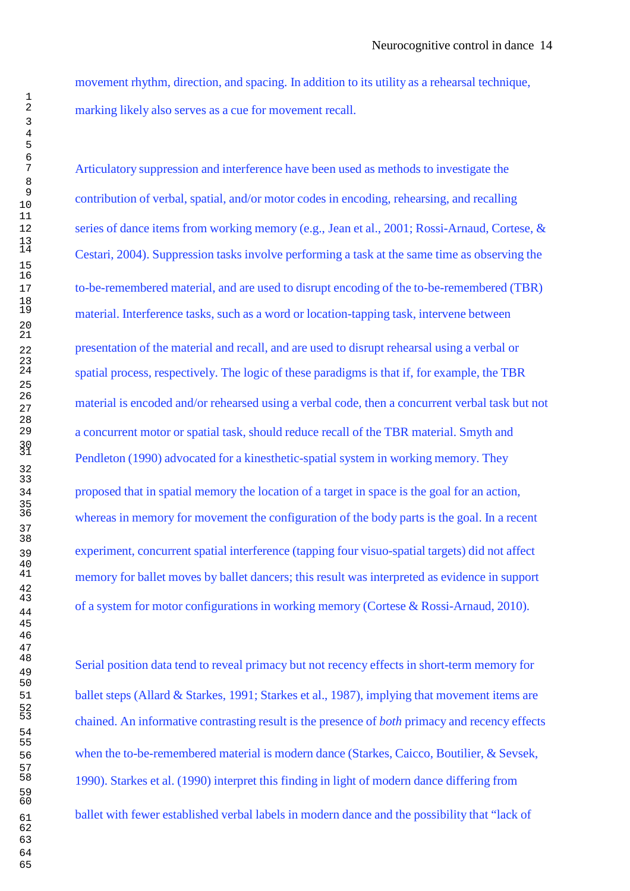movement rhythm, direction, and spacing. In addition to its utility as a rehearsal technique, marking likely also serves as a cue for movement recall.

Articulatory suppression and interference have been used as methods to investigate the contribution of verbal, spatial, and/or motor codes in encoding, rehearsing, and recalling series of dance items from working memory (e.g., Jean et al., 2001; Rossi-Arnaud, Cortese, & Cestari, 2004). Suppression tasks involve performing a task at the same time as observing the to-be-remembered material, and are used to disrupt encoding of the to-be-remembered (TBR) material. Interference tasks, such as a word or location-tapping task, intervene between presentation of the material and recall, and are used to disrupt rehearsal using a verbal or spatial process, respectively. The logic of these paradigms is that if, for example, the TBR material is encoded and/or rehearsed using a verbal code, then a concurrent verbal task but not a concurrent motor or spatial task, should reduce recall of the TBR material. Smyth and Pendleton (1990) advocated for a kinesthetic-spatial system in working memory. They proposed that in spatial memory the location of a target in space is the goal for an action, whereas in memory for movement the configuration of the body parts is the goal. In a recent experiment, concurrent spatial interference (tapping four visuo-spatial targets) did not affect memory for ballet moves by ballet dancers; this result was interpreted as evidence in support of a system for motor configurations in working memory (Cortese & Rossi-Arnaud, 2010).

Serial position data tend to reveal primacy but not recency effects in short-term memory for ballet steps (Allard & Starkes, 1991; Starkes et al., 1987), implying that movement items are chained. An informative contrasting result is the presence of *both* primacy and recency effects when the to-be-remembered material is modern dance (Starkes, Caicco, Boutilier, & Sevsek, 1990). Starkes et al. (1990) interpret this finding in light of modern dance differing from ballet with fewer established verbal labels in modern dance and the possibility that "lack of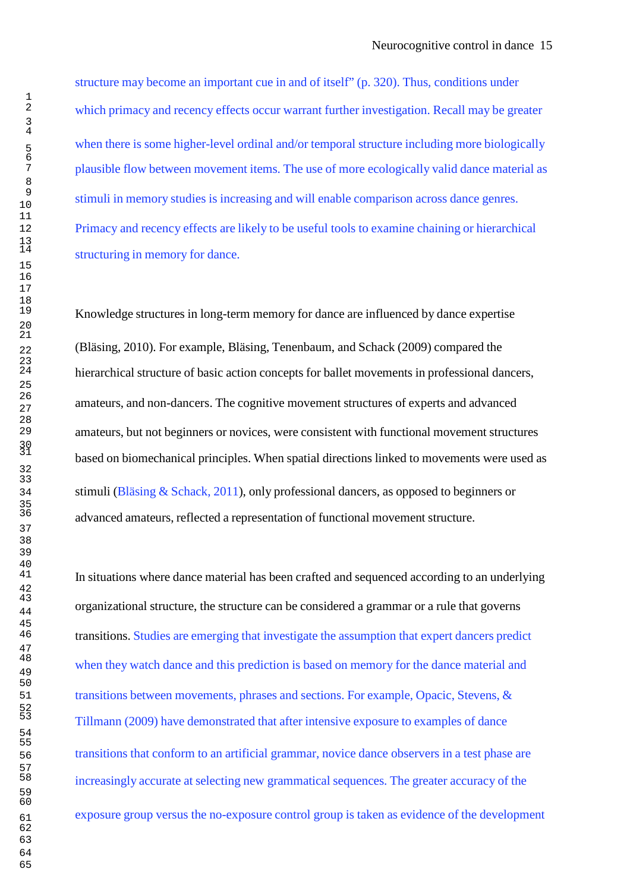structure may become an important cue in and of itself" (p. 320). Thus, conditions under which primacy and recency effects occur warrant further investigation. Recall may be greater when there is some higher-level ordinal and/or temporal structure including more biologically 7 plausible flow between movement items. The use of more ecologically valid dance material as stimuli in memory studies is increasing and will enable comparison across dance genres. 12 Primacy and recency effects are likely to be useful tools to examine chaining or hierarchical structuring in memory for dance.

Knowledge structures in long-term memory for dance are influenced by dance expertise 22 (Bläsing, 2010). For example, Bläsing, Tenenbaum, and Schack (2009) compared the hierarchical structure of basic action concepts for ballet movements in professional dancers, amateurs, and non-dancers. The cognitive movement structures of experts and advanced amateurs, but not beginners or novices, were consistent with functional movement structures based on biomechanical principles. When spatial directions linked to movements were used as 34 stimuli (Bläsing & Schack, 2011), only professional dancers, as opposed to beginners or advanced amateurs, reflected a representation of functional movement structure.

In situations where dance material has been crafted and sequenced according to an underlying organizational structure, the structure can be considered a grammar or a rule that governs transitions. Studies are emerging that investigate the assumption that expert dancers predict when they watch dance and this prediction is based on memory for the dance material and 51 transitions between movements, phrases and sections. For example, Opacic, Stevens, & Tillmann (2009) have demonstrated that after intensive exposure to examples of dance 56 transitions that conform to an artificial grammar, novice dance observers in a test phase are increasingly accurate at selecting new grammatical sequences. The greater accuracy of the 61 exposure group versus the no-exposure control group is taken as evidence of the development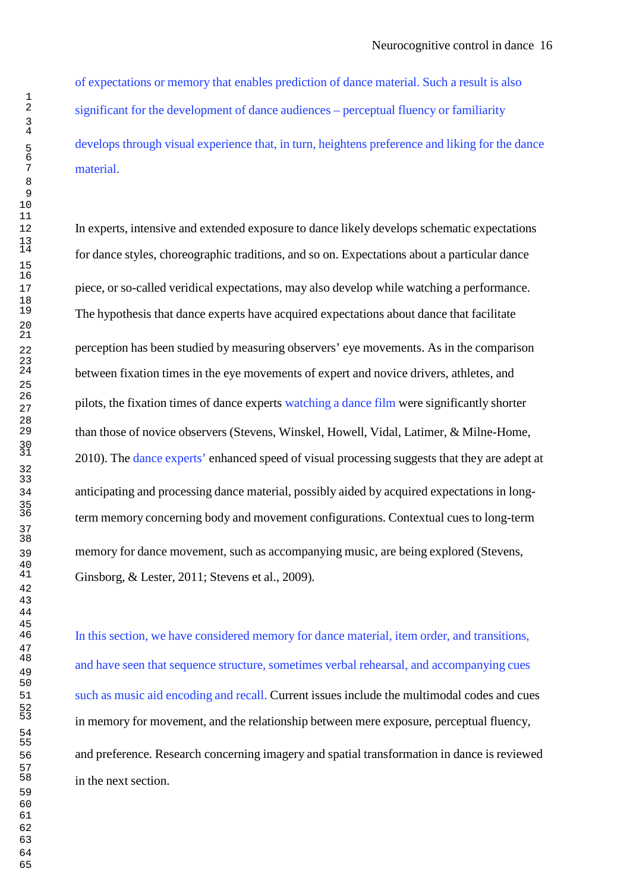of expectations or memory that enables prediction of dance material. Such a result is also significant for the development of dance audiences – perceptual fluency or familiarity develops through visual experience that, in turn, heightens preference and liking for the dance material.

In experts, intensive and extended exposure to dance likely develops schematic expectations for dance styles, choreographic traditions, and so on. Expectations about a particular dance piece, or so-called veridical expectations, may also develop while watching a performance. The hypothesis that dance experts have acquired expectations about dance that facilitate perception has been studied by measuring observers' eye movements. As in the comparison between fixation times in the eye movements of expert and novice drivers, athletes, and pilots, the fixation times of dance experts watching a dance film were significantly shorter than those of novice observers (Stevens, Winskel, Howell, Vidal, Latimer, & Milne-Home, 2010). The dance experts' enhanced speed of visual processing suggests that they are adept at anticipating and processing dance material, possibly aided by acquired expectations in longterm memory concerning body and movement configurations. Contextual cues to long-term memory for dance movement, such as accompanying music, are being explored (Stevens, Ginsborg, & Lester, 2011; Stevens et al., 2009).

In this section, we have considered memory for dance material, item order, and transitions, and have seen that sequence structure, sometimes verbal rehearsal, and accompanying cues such as music aid encoding and recall. Current issues include the multimodal codes and cues in memory for movement, and the relationship between mere exposure, perceptual fluency, and preference. Research concerning imagery and spatial transformation in dance is reviewed in the next section.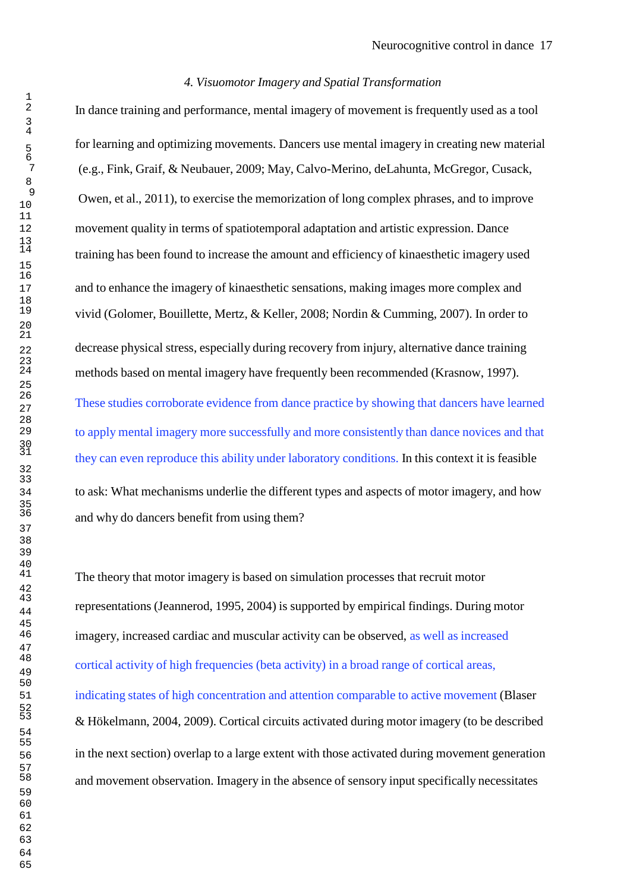# *4. Visuomotor Imagery and Spatial Transformation*

In dance training and performance, mental imagery of movement is frequently used as a tool for learning and optimizing movements. Dancers use mental imagery in creating new material (e.g., Fink, Graif, & Neubauer, 2009; May, Calvo-Merino, deLahunta, McGregor, Cusack, Owen, et al., 2011), to exercise the memorization of long complex phrases, and to improve movement quality in terms of spatiotemporal adaptation and artistic expression. Dance training has been found to increase the amount and efficiency of kinaesthetic imagery used and to enhance the imagery of kinaesthetic sensations, making images more complex and vivid (Golomer, Bouillette, Mertz, & Keller, 2008; Nordin & Cumming, 2007). In order to decrease physical stress, especially during recovery from injury, alternative dance training methods based on mental imagery have frequently been recommended (Krasnow, 1997). These studies corroborate evidence from dance practice by showing that dancers have learned to apply mental imagery more successfully and more consistently than dance novices and that they can even reproduce this ability under laboratory conditions. In this context it is feasible to ask: What mechanisms underlie the different types and aspects of motor imagery, and how and why do dancers benefit from using them?

The theory that motor imagery is based on simulation processes that recruit motor representations (Jeannerod, 1995, 2004) is supported by empirical findings. During motor imagery, increased cardiac and muscular activity can be observed, as well as increased cortical activity of high frequencies (beta activity) in a broad range of cortical areas, indicating states of high concentration and attention comparable to active movement (Blaser & Hökelmann, 2004, 2009). Cortical circuits activated during motor imagery (to be described in the next section) overlap to a large extent with those activated during movement generation and movement observation. Imagery in the absence of sensory input specifically necessitates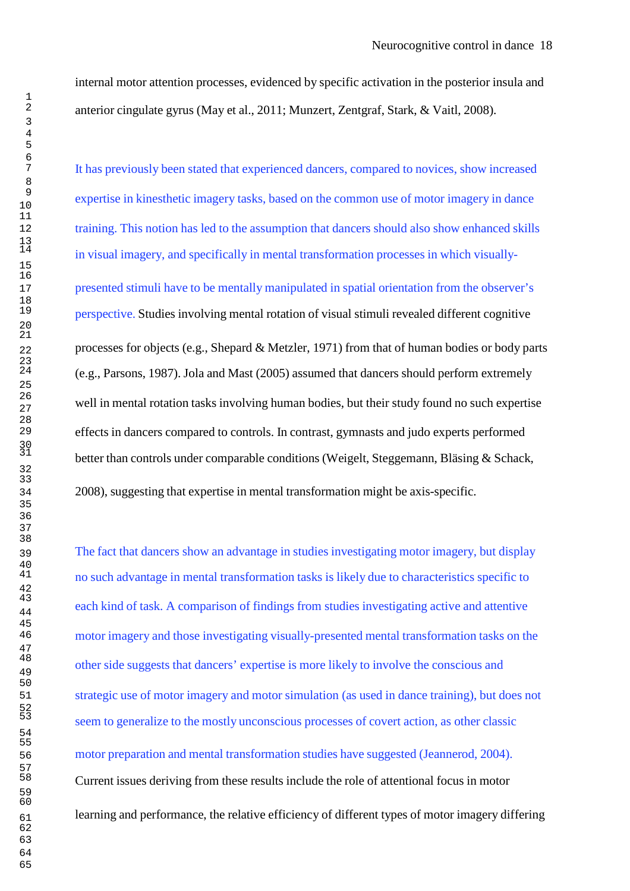internal motor attention processes, evidenced by specific activation in the posterior insula and anterior cingulate gyrus (May et al., 2011; Munzert, Zentgraf, Stark, & Vaitl, 2008).

It has previously been stated that experienced dancers, compared to novices, show increased expertise in kinesthetic imagery tasks, based on the common use of motor imagery in dance training. This notion has led to the assumption that dancers should also show enhanced skills in visual imagery, and specifically in mental transformation processes in which visually-presented stimuli have to be mentally manipulated in spatial orientation from the observer's perspective. Studies involving mental rotation of visual stimuli revealed different cognitive processes for objects (e.g., Shepard & Metzler, 1971) from that of human bodies or body parts (e.g., Parsons, 1987). Jola and Mast (2005) assumed that dancers should perform extremely well in mental rotation tasks involving human bodies, but their study found no such expertise effects in dancers compared to controls. In contrast, gymnasts and judo experts performed better than controls under comparable conditions (Weigelt, Steggemann, Bläsing & Schack, 2008), suggesting that expertise in mental transformation might be axis-specific.

The fact that dancers show an advantage in studies investigating motor imagery, but display no such advantage in mental transformation tasks is likely due to characteristics specific to each kind of task. A comparison of findings from studies investigating active and attentive motor imagery and those investigating visually-presented mental transformation tasks on the other side suggests that dancers' expertise is more likely to involve the conscious and strategic use of motor imagery and motor simulation (as used in dance training), but does not seem to generalize to the mostly unconscious processes of covert action, as other classic motor preparation and mental transformation studies have suggested (Jeannerod, 2004). Current issues deriving from these results include the role of attentional focus in motor <sup>61</sup> learning and performance, the relative efficiency of different types of motor imagery differing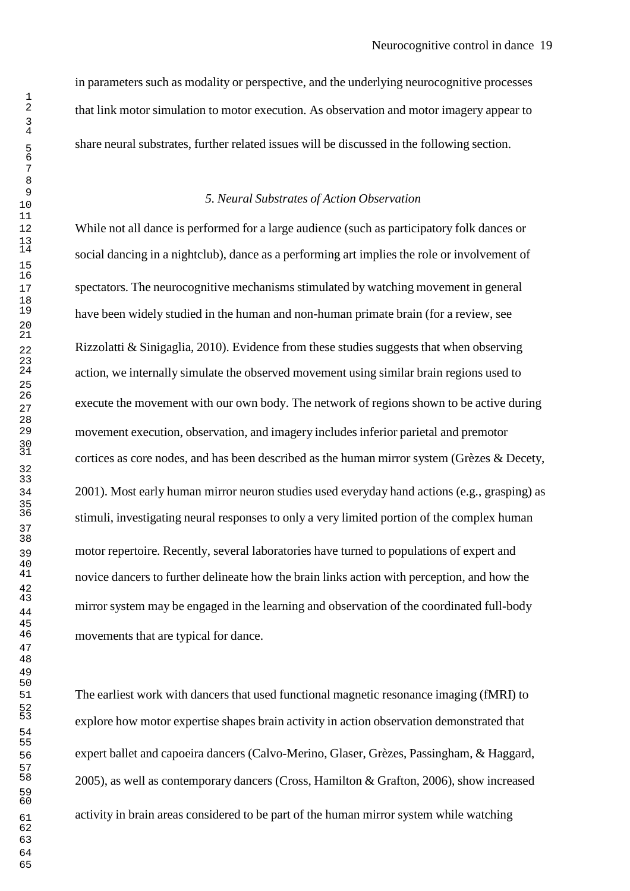in parameters such as modality or perspective, and the underlying neurocognitive processes that link motor simulation to motor execution. As observation and motor imagery appear to share neural substrates, further related issues will be discussed in the following section.

#### *5. Neural Substrates of Action Observation*

While not all dance is performed for a large audience (such as participatory folk dances or social dancing in a nightclub), dance as a performing art implies the role or involvement of spectators. The neurocognitive mechanisms stimulated by watching movement in general have been widely studied in the human and non-human primate brain (for a review, see Rizzolatti & Sinigaglia, 2010). Evidence from these studies suggests that when observing action, we internally simulate the observed movement using similar brain regions used to execute the movement with our own body. The network of regions shown to be active during movement execution, observation, and imagery includes inferior parietal and premotor cortices as core nodes, and has been described as the human mirror system (Grèzes & Decety, 2001). Most early human mirror neuron studies used everyday hand actions (e.g., grasping) as stimuli, investigating neural responses to only a very limited portion of the complex human motor repertoire. Recently, several laboratories have turned to populations of expert and novice dancers to further delineate how the brain links action with perception, and how the mirror system may be engaged in the learning and observation of the coordinated full-body movements that are typical for dance.

The earliest work with dancers that used functional magnetic resonance imaging (fMRI) to explore how motor expertise shapes brain activity in action observation demonstrated that expert ballet and capoeira dancers (Calvo-Merino, Glaser, Grèzes, Passingham, & Haggard, 2005), as well as contemporary dancers (Cross, Hamilton & Grafton, 2006), show increased activity in brain areas considered to be part of the human mirror system while watching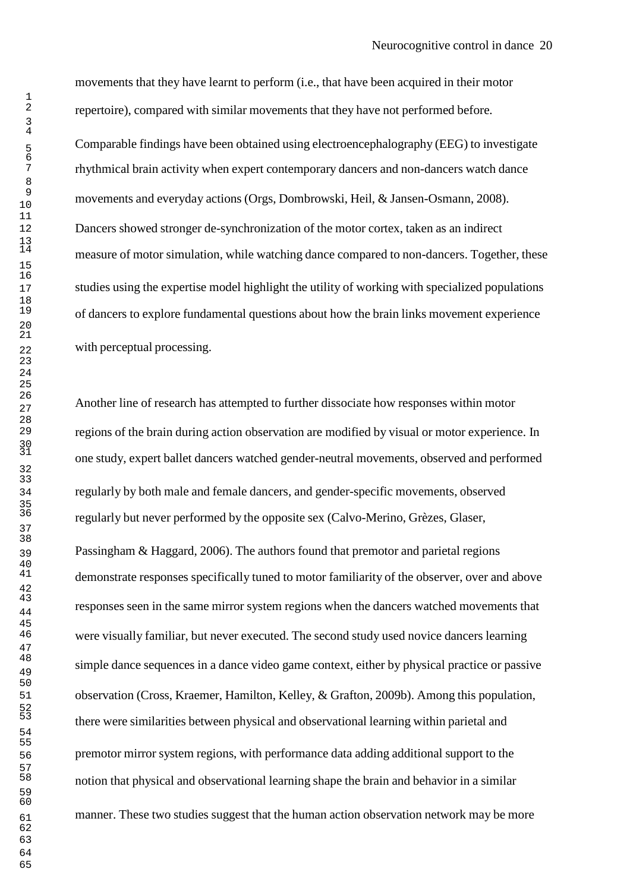movements that they have learnt to perform (i.e., that have been acquired in their motor repertoire), compared with similar movements that they have not performed before.

Comparable findings have been obtained using electroencephalography (EEG) to investigate rhythmical brain activity when expert contemporary dancers and non-dancers watch dance movements and everyday actions (Orgs, Dombrowski, Heil, & Jansen-Osmann, 2008). Dancers showed stronger de-synchronization of the motor cortex, taken as an indirect measure of motor simulation, while watching dance compared to non-dancers. Together, these studies using the expertise model highlight the utility of working with specialized populations of dancers to explore fundamental questions about how the brain links movement experience with perceptual processing.

Another line of research has attempted to further dissociate how responses within motor regions of the brain during action observation are modified by visual or motor experience. In one study, expert ballet dancers watched gender-neutral movements, observed and performed regularly by both male and female dancers, and gender-specific movements, observed regularly but never performed by the opposite sex (Calvo-Merino, Grèzes, Glaser, Passingham & Haggard, 2006). The authors found that premotor and parietal regions demonstrate responses specifically tuned to motor familiarity of the observer, over and above responses seen in the same mirror system regions when the dancers watched movements that were visually familiar, but never executed. The second study used novice dancers learning simple dance sequences in a dance video game context, either by physical practice or passive observation (Cross, Kraemer, Hamilton, Kelley, & Grafton, 2009b). Among this population, there were similarities between physical and observational learning within parietal and premotor mirror system regions, with performance data adding additional support to the notion that physical and observational learning shape the brain and behavior in a similar 61 manner. These two studies suggest that the human action observation network may be more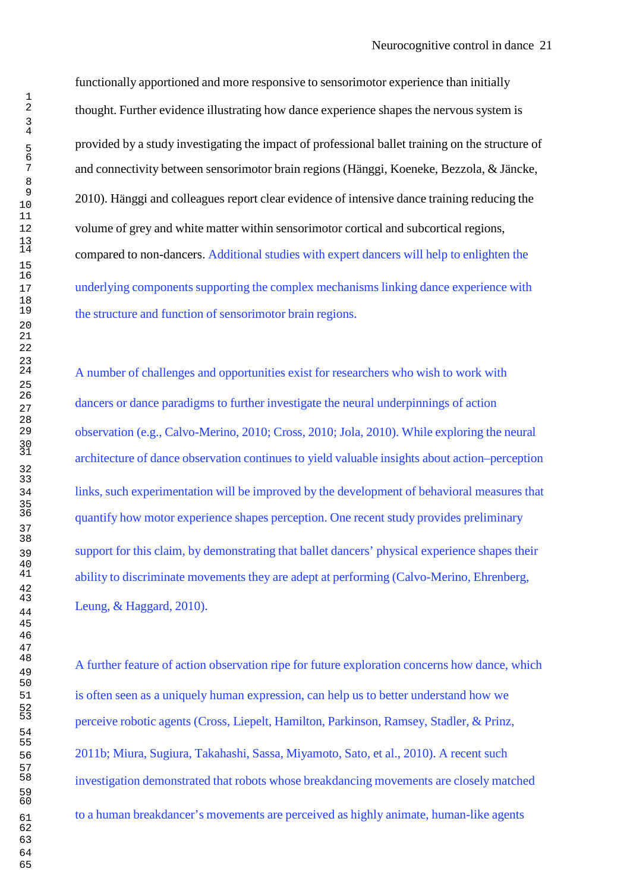functionally apportioned and more responsive to sensorimotor experience than initially thought. Further evidence illustrating how dance experience shapes the nervous system is provided by a study investigating the impact of professional ballet training on the structure of and connectivity between sensorimotor brain regions (Hänggi, Koeneke, Bezzola, & Jäncke, 2010). Hänggi and colleagues report clear evidence of intensive dance training reducing the volume of grey and white matter within sensorimotor cortical and subcortical regions, compared to non-dancers. Additional studies with expert dancers will help to enlighten the underlying components supporting the complex mechanisms linking dance experience with the structure and function of sensorimotor brain regions.

A number of challenges and opportunities exist for researchers who wish to work with dancers or dance paradigms to further investigate the neural underpinnings of action observation (e.g., Calvo-Merino, 2010; Cross, 2010; Jola, 2010). While exploring the neural architecture of dance observation continues to yield valuable insights about action–perception links, such experimentation will be improved by the development of behavioral measures that quantify how motor experience shapes perception. One recent study provides preliminary support for this claim, by demonstrating that ballet dancers' physical experience shapes their ability to discriminate movements they are adept at performing (Calvo-Merino, Ehrenberg, Leung, & Haggard, 2010).

A further feature of action observation ripe for future exploration concerns how dance, which is often seen as a uniquely human expression, can help us to better understand how we perceive robotic agents (Cross, Liepelt, Hamilton, Parkinson, Ramsey, Stadler, & Prinz, 2011b; Miura, Sugiura, Takahashi, Sassa, Miyamoto, Sato, et al., 2010). A recent such investigation demonstrated that robots whose breakdancing movements are closely matched to a human breakdancer's movements are perceived as highly animate, human-like agents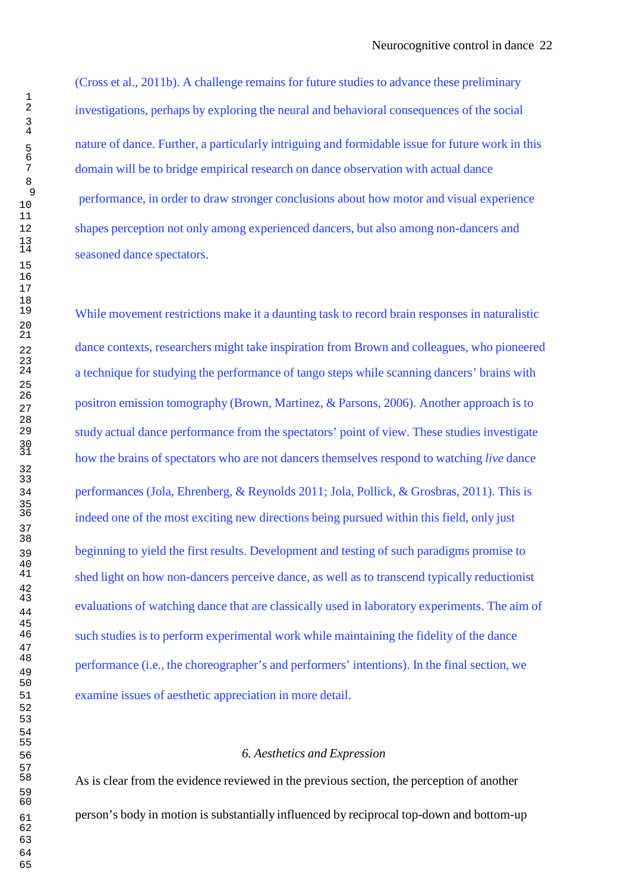(Cross et al., 2011b). A challenge remains for future studies to advance these preliminary investigations, perhaps by exploring the neural and behavioral consequences of the social nature of dance. Further, a particularly intriguing and formidable issue for future work in this domain will be to bridge empirical research on dance observation with actual dance performance, in order to draw stronger conclusions about how motor and visual experience shapes perception not only among experienced dancers, but also among non-dancers and seasoned dance spectators.

While movement restrictions make it a daunting task to record brain responses in naturalistic dance contexts, researchers might take inspiration from Brown and colleagues, who pioneered a technique for studying the performance of tango steps while scanning dancers' brains with positron emission tomography (Brown, Martinez, & Parsons, 2006). Another approach is to study actual dance performance from the spectators' point of view. These studies investigate how the brains of spectators who are not dancers themselves respond to watching *live* dance performances (Jola, Ehrenberg, & Reynolds 2011; Jola, Pollick, & Grosbras, 2011). This is indeed one of the most exciting new directions being pursued within this field, only just beginning to yield the first results. Development and testing of such paradigms promise to shed light on how non-dancers perceive dance, as well as to transcend typically reductionist evaluations of watching dance that are classically used in laboratory experiments. The aim of such studies is to perform experimental work while maintaining the fidelity of the dance performance (i.e., the choreographer's and performers' intentions). In the final section, we examine issues of aesthetic appreciation in more detail.

## *6. Aesthetics and Expression*

As is clear from the evidence reviewed in the previous section, the perception of another person's body in motion is substantially influenced by reciprocal top-down and bottom-up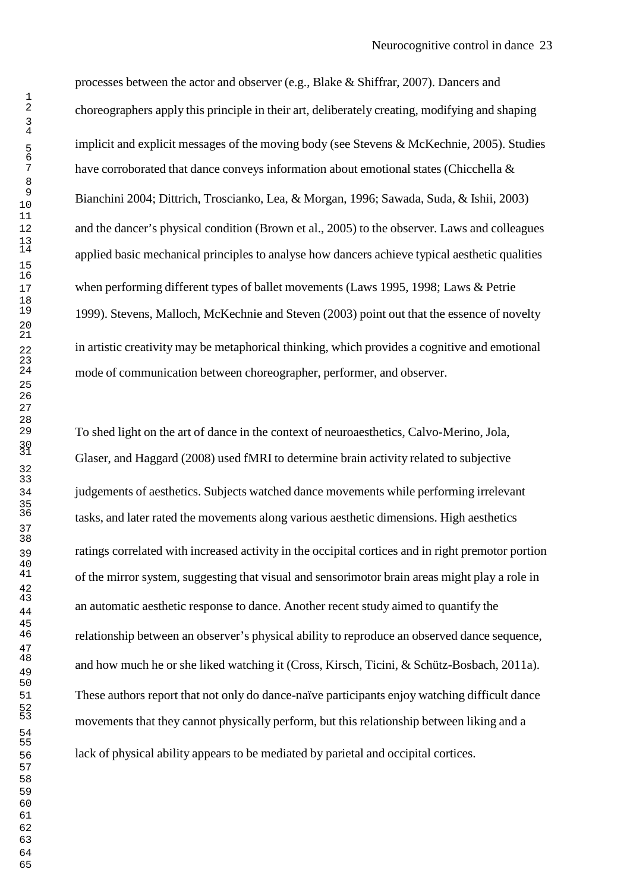processes between the actor and observer (e.g., Blake & Shiffrar, 2007). Dancers and choreographers apply this principle in their art, deliberately creating, modifying and shaping implicit and explicit messages of the moving body (see Stevens & McKechnie, 2005). Studies have corroborated that dance conveys information about emotional states (Chicchella & Bianchini 2004; Dittrich, Troscianko, Lea, & Morgan, 1996; Sawada, Suda, & Ishii, 2003) and the dancer's physical condition (Brown et al., 2005) to the observer. Laws and colleagues applied basic mechanical principles to analyse how dancers achieve typical aesthetic qualities 17 when performing different types of ballet movements (Laws 1995, 1998; Laws & Petrie 1999). Stevens, Malloch, McKechnie and Steven (2003) point out that the essence of novelty in artistic creativity may be metaphorical thinking, which provides a cognitive and emotional mode of communication between choreographer, performer, and observer.

To shed light on the art of dance in the context of neuroaesthetics, Calvo-Merino, Jola, Glaser, and Haggard (2008) used fMRI to determine brain activity related to subjective judgements of aesthetics. Subjects watched dance movements while performing irrelevant tasks, and later rated the movements along various aesthetic dimensions. High aesthetics ratings correlated with increased activity in the occipital cortices and in right premotor portion of the mirror system, suggesting that visual and sensorimotor brain areas might play a role in an automatic aesthetic response to dance. Another recent study aimed to quantify the relationship between an observer's physical ability to reproduce an observed dance sequence, and how much he or she liked watching it (Cross, Kirsch, Ticini, & Schütz-Bosbach, 2011a). These authors report that not only do dance-naïve participants enjoy watching difficult dance movements that they cannot physically perform, but this relationship between liking and a lack of physical ability appears to be mediated by parietal and occipital cortices.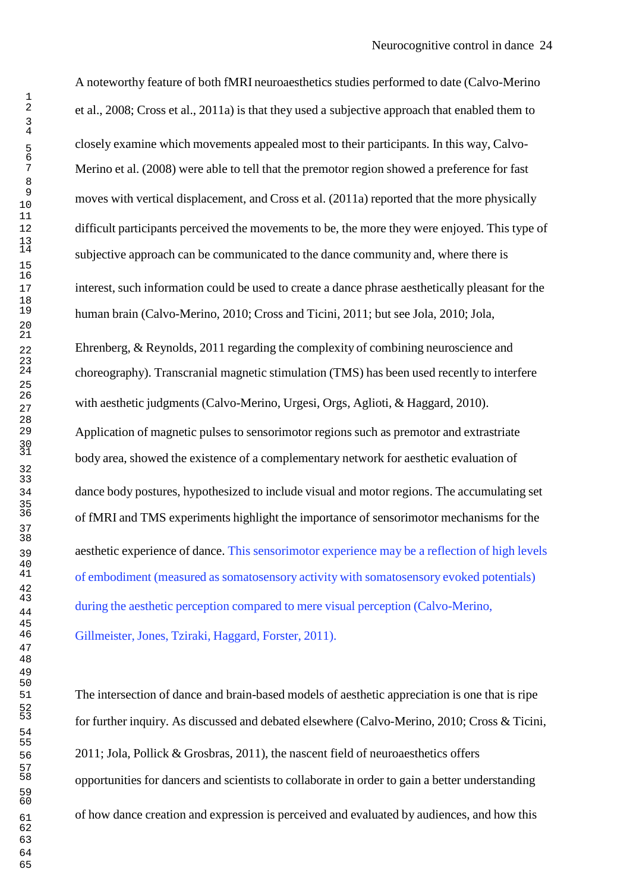A noteworthy feature of both fMRI neuroaesthetics studies performed to date (Calvo-Merino et al., 2008; Cross et al., 2011a) is that they used a subjective approach that enabled them to closely examine which movements appealed most to their participants. In this way, Calvo-Merino et al. (2008) were able to tell that the premotor region showed a preference for fast moves with vertical displacement, and Cross et al. (2011a) reported that the more physically difficult participants perceived the movements to be, the more they were enjoyed. This type of subjective approach can be communicated to the dance community and, where there is interest, such information could be used to create a dance phrase aesthetically pleasant for the human brain (Calvo-Merino, 2010; Cross and Ticini, 2011; but see Jola, 2010; Jola, Ehrenberg,  $&$  Reynolds, 2011 regarding the complexity of combining neuroscience and choreography). Transcranial magnetic stimulation (TMS) has been used recently to interfere with aesthetic judgments (Calvo-Merino, Urgesi, Orgs, Aglioti, & Haggard, 2010). Application of magnetic pulses to sensorimotor regions such as premotor and extrastriate body area, showed the existence of a complementary network for aesthetic evaluation of dance body postures, hypothesized to include visual and motor regions. The accumulating set of fMRI and TMS experiments highlight the importance of sensorimotor mechanisms for the aesthetic experience of dance. This sensorimotor experience may be a reflection of high levels of embodiment (measured as somatosensory activity with somatosensory evoked potentials) during the aesthetic perception compared to mere visual perception (Calvo-Merino, Gillmeister, Jones, Tziraki, Haggard, Forster, 2011).

The intersection of dance and brain-based models of aesthetic appreciation is one that is ripe for further inquiry. As discussed and debated elsewhere (Calvo-Merino, 2010; Cross & Ticini, 2011; Jola, Pollick & Grosbras, 2011), the nascent field of neuroaesthetics offers opportunities for dancers and scientists to collaborate in order to gain a better understanding of how dance creation and expression is perceived and evaluated by audiences, and how this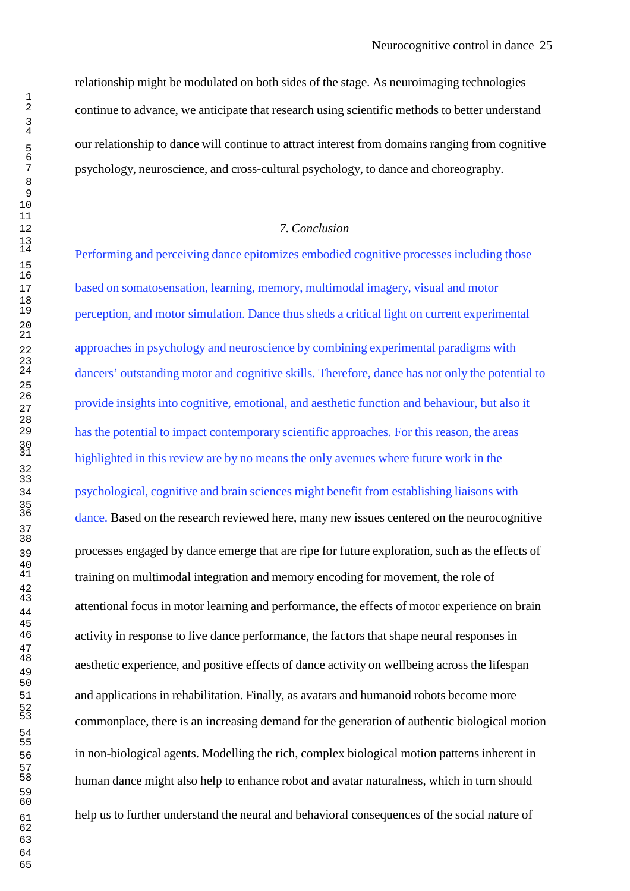relationship might be modulated on both sides of the stage. As neuroimaging technologies continue to advance, we anticipate that research using scientific methods to better understand our relationship to dance will continue to attract interest from domains ranging from cognitive psychology, neuroscience, and cross-cultural psychology, to dance and choreography.

## *7. Conclusion*

Performing and perceiving dance epitomizes embodied cognitive processes including those based on somatosensation, learning, memory, multimodal imagery, visual and motor perception, and motor simulation. Dance thus sheds a critical light on current experimental approaches in psychology and neuroscience by combining experimental paradigms with dancers' outstanding motor and cognitive skills. Therefore, dance has not only the potential to provide insights into cognitive, emotional, and aesthetic function and behaviour, but also it has the potential to impact contemporary scientific approaches. For this reason, the areas highlighted in this review are by no means the only avenues where future work in the

psychological, cognitive and brain sciences might benefit from establishing liaisons with

dance. Based on the research reviewed here, many new issues centered on the neurocognitive processes engaged by dance emerge that are ripe for future exploration, such as the effects of training on multimodal integration and memory encoding for movement, the role of attentional focus in motor learning and performance, the effects of motor experience on brain activity in response to live dance performance, the factors that shape neural responses in aesthetic experience, and positive effects of dance activity on wellbeing across the lifespan and applications in rehabilitation. Finally, as avatars and humanoid robots become more commonplace, there is an increasing demand for the generation of authentic biological motion in non-biological agents. Modelling the rich, complex biological motion patterns inherent in human dance might also help to enhance robot and avatar naturalness, which in turn should help us to further understand the neural and behavioral consequences of the social nature of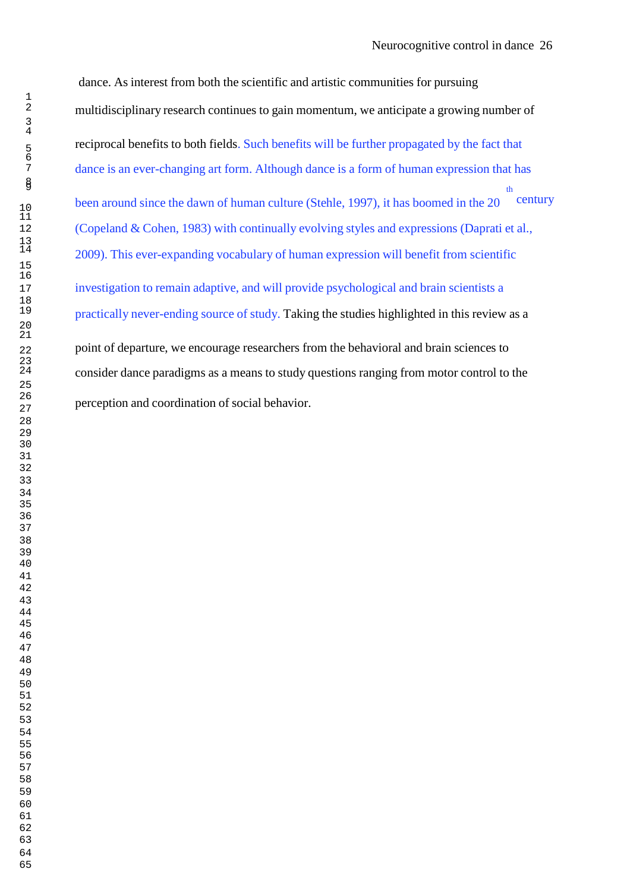dance. As interest from both the scientific and artistic communities for pursuing multidisciplinary research continues to gain momentum, we anticipate a growing number of reciprocal benefits to both fields. Such benefits will be further propagated by the fact that 7 dance is an ever-changing art form. Although dance is a form of human expression that has  $\frac{8}{10}$  $\frac{8}{9}$  the set of  $\frac{1}{9}$  the set of  $\frac{1}{9}$  the set of  $\frac{1}{9}$  the set of  $\frac{1}{9}$  the set of  $\frac{1}{9}$  the set of  $\frac{1}{9}$  set of  $\frac{1}{9}$  set of  $\frac{1}{9}$  set of  $\frac{1}{9}$  set of  $\frac{1}{9}$  set of  $\frac{1}{9}$  10 been around since the dawn of human culture (Stehle, 1997), it has boomed in the 20 century (Copeland & Cohen, 1983) with continually evolving styles and expressions (Daprati et al., 2009). This ever-expanding vocabulary of human expression will benefit from scientific investigation to remain adaptive, and will provide psychological and brain scientists a practically never-ending source of study. Taking the studies highlighted in this review as a point of departure, we encourage researchers from the behavioral and brain sciences to consider dance paradigms as a means to study questions ranging from motor control to the perception and coordination of social behavior.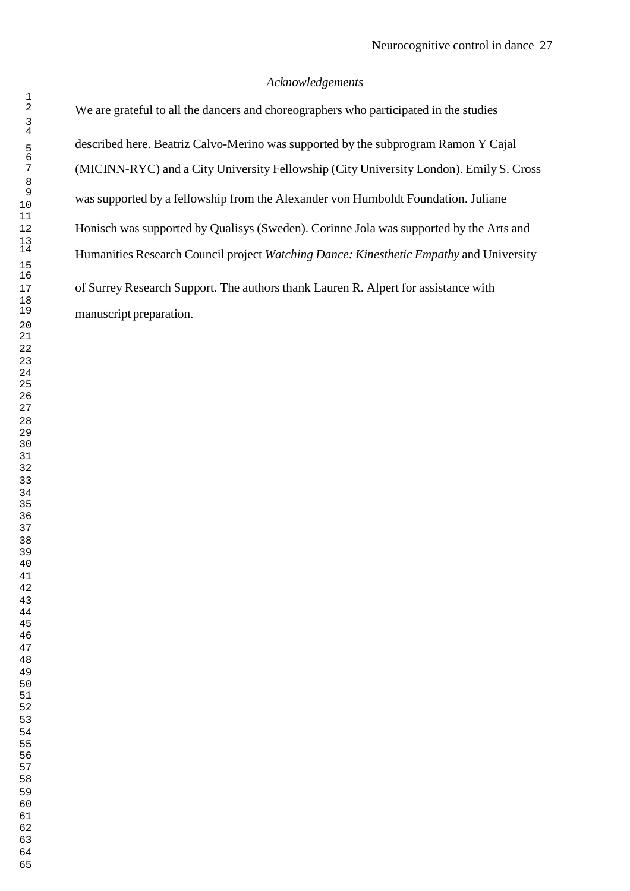# *Acknowledgements*

We are grateful to all the dancers and choreographers who participated in the studies described here. Beatriz Calvo-Merino was supported by the subprogram Ramon Y Cajal (MICINN-RYC) and a City University Fellowship (City University London). Emily S. Cross was supported by a fellowship from the Alexander von Humboldt Foundation. Juliane Honisch was supported by Qualisys (Sweden). Corinne Jola was supported by the Arts and Humanities Research Council project *Watching Dance: Kinesthetic Empathy* and University of Surrey Research Support. The authors thank Lauren R. Alpert for assistance with manuscript preparation.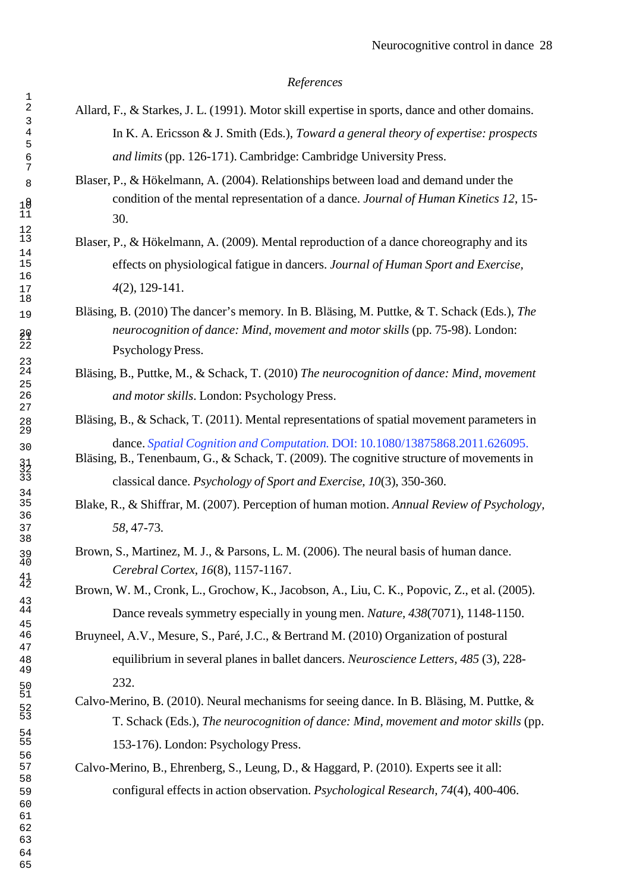#### *References*

- 2 Allard, F., & Starkes, J. L. (1991). Motor skill expertise in sports, dance and other domains. 4 In K. A. Ericsson & J. Smith (Eds.), *Toward a general theory of expertise: prospects* 6 *and limits* (pp. 126-171). Cambridge: Cambridge University Press.
- 8 Blaser, P., & Hökelmann, A. (2004). Relationships between load and demand under the 9 condition of the mental representation of a dance. *Journal of Human Kinetics 12*, 15- 30.
- Blaser, P., & Hökelmann, A. (2009). Mental reproduction of a dance choreography and its 15 effects on physiological fatigue in dancers. *Journal of Human Sport and Exercise,* 17 *4*(2), 129-141.
- 19 Bläsing, B. (2010) The dancer's memory. In B. Bläsing, M. Puttke, & T. Schack (Eds.), *The* 20 *neurocognition of dance: Mind, movement and motor skills* (pp. 75-98). London: Psychology Press.
	- 24 Bläsing, B., Puttke, M., & Schack, T. (2010) *The neurocognition of dance: Mind, movement* 26 *and motor skills*. London: Psychology Press.
- Bläsing, B., & Schack, T. (2011). Mental representations of spatial movement parameters in <sup>30</sup> dance. *Spatial Cognition and Computation.* DOI: 10.1080/13875868.2011.626095.
	- Bläsing, B., Tenenbaum, G., & Schack, T. (2009). The cognitive structure of movements in <sup>33</sup>classical dance. *Psychology of Sport and Exercise, 10*(3), 350-360.
	- 35 Blake, R., & Shiffrar, M. (2007). Perception of human motion. *Annual Review of Psychology,* 37 *58*, 47-73.
- 39 Brown, S., Martinez, M. J., & Parsons, L. M. (2006). The neural basis of human dance. <sup>40</sup>*Cerebral Cortex, 16*(8), 1157-1167.
	- Brown, W. M., Cronk, L., Grochow, K., Jacobson, A., Liu, C. K., Popovic, Z., et al. (2005). <sup>44</sup>Dance reveals symmetry especially in young men. *Nature, 438*(7071), 1148-1150.

Bruyneel, A.V., Mesure, S., Paré, J.C., & Bertrand M. (2010) Organization of postural 48 equilibrium in several planes in ballet dancers. *Neuroscience Letters, 485* (3), 228- 50 232.

- Calvo-Merino, B. (2010). Neural mechanisms for seeing dance. In B. Bläsing, M. Puttke,  $\&$ <sup>53</sup>T. Schack (Eds.), *The neurocognition of dance: Mind, movement and motor skills* (pp. 55 153-176). London: Psychology Press.
- Calvo-Merino, B., Ehrenberg, S., Leung, D., & Haggard, P. (2010). Experts see it all: 59 configural effects in action observation. *Psychological Research, 74*(4), 400-406.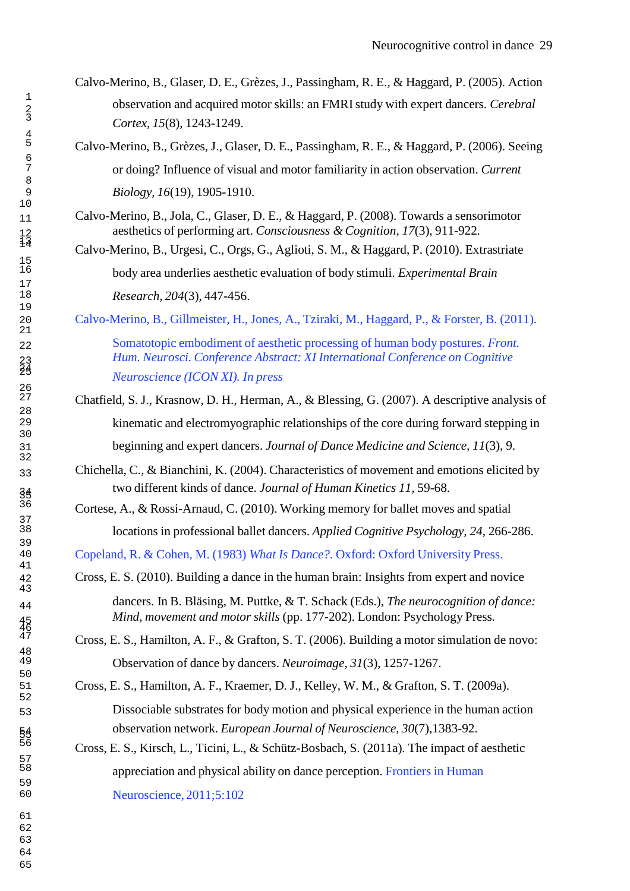- Calvo-Merino, B., Glaser, D. E., Grèzes, J., Passingham, R. E., & Haggard, P. (2005). Action observation and acquired motor skills: an FMRI study with expert dancers. *Cerebral Cortex, 15*(8), 1243-1249.
- Calvo-Merino, B., Grèzes, J., Glaser, D. E., Passingham, R. E., & Haggard, P. (2006). Seeing or doing? Influence of visual and motor familiarity in action observation. *Current Biology, 16*(19), 1905-1910.
- Calvo-Merino, B., Jola, C., Glaser, D. E., & Haggard, P. (2008). Towards a sensorimotor aesthetics of performing art. *Consciousness & Cognition, 17*(3), 911-922.

Calvo-Merino, B., Urgesi, C., Orgs, G., Aglioti, S. M., & Haggard, P. (2010). Extrastriate body area underlies aesthetic evaluation of body stimuli. *Experimental Brain Research, 204*(3), 447-456.

Calvo-Merino, B., Gillmeister, H., Jones, A., Tziraki, M., Haggard, P., & Forster, B. (2011).

 Somatotopic embodiment of aesthetic processing of human body postures. *Front. Hum. Neurosci. Conference Abstract: XI International Conference on Cognitive Neuroscience (ICON XI). In press*

- Chatfield, S. J., Krasnow, D. H., Herman, A., & Blessing, G. (2007). A descriptive analysis of kinematic and electromyographic relationships of the core during forward stepping in beginning and expert dancers. *Journal of Dance Medicine and Science, 11*(3), 9.
- Chichella, C., & Bianchini, K. (2004). Characteristics of movement and emotions elicited by two different kinds of dance. *Journal of Human Kinetics 11,* 59-68.
	- Cortese, A., & Rossi-Arnaud, C. (2010). Working memory for ballet moves and spatial locations in professional ballet dancers. *Applied Cognitive Psychology, 24*, 266-286.

Copeland, R. & Cohen, M. (1983) *What Is Dance?*. Oxford: Oxford University Press.

Cross, E. S. (2010). Building a dance in the human brain: Insights from expert and novice

 dancers. In B. Bläsing, M. Puttke, & T. Schack (Eds.), *The neurocognition of dance: Mind, movement and motor skills* (pp. 177-202). London: Psychology Press.

> Cross, E. S., Hamilton, A. F., & Grafton, S. T. (2006). Building a motor simulation de novo: Observation of dance by dancers. *Neuroimage, 31*(3), 1257-1267.

Cross, E. S., Hamilton, A. F., Kraemer, D. J., Kelley, W. M., & Grafton, S. T. (2009a). Dissociable substrates for body motion and physical experience in the human action observation network. *European Journal of Neuroscience, 30*(7),1383-92.

> Cross, E. S., Kirsch, L., Ticini, L., & Schütz-Bosbach, S. (2011a). The impact of aesthetic appreciation and physical ability on dance perception. Frontiers in Human Neuroscience, 2011;5:102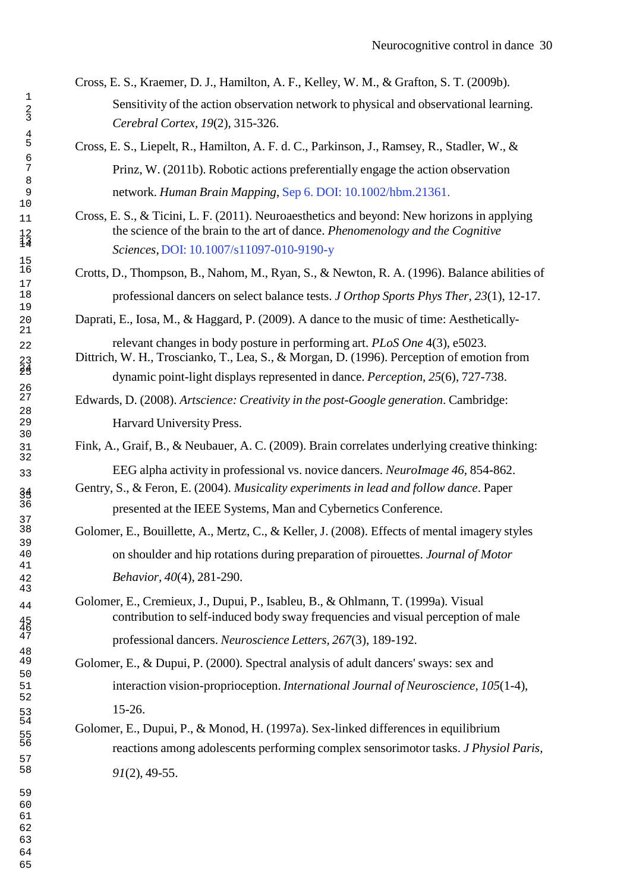Cross, E. S., Kraemer, D. J., Hamilton, A. F., Kelley, W. M., & Grafton, S. T. (2009b).  $\frac{1}{2}$  Sensitivity of the action observation network to physical and observational learning. *Cerebral Cortex, 19*(2), 315-326.

Cross, E. S., Liepelt, R., Hamilton, A. F. d. C., Parkinson, J., Ramsey, R., Stadler, W., & Prinz, W. (2011b). Robotic actions preferentially engage the action observation network. *Human Brain Mapping*, Sep 6. DOI: 10.1002/hbm.21361.

 Cross, E. S., & Ticini, L. F. (2011). Neuroaesthetics and beyond: New horizons in applying the science of the brain to the art of dance. *Phenomenology and the Cognitive Sciences*, DOI: 10.1007/s11097-010-9190-y

> Crotts, D., Thompson, B., Nahom, M., Ryan, S., & Newton, R. A. (1996). Balance abilities of professional dancers on select balance tests. *J Orthop Sports Phys Ther, 23*(1), 12-17.

Daprati, E., Iosa, M., & Haggard, P. (2009). A dance to the music of time: Aesthetically-

 relevant changes in body posture in performing art. *PLoS One* 4(3), e5023. Dittrich, W. H., Troscianko, T., Lea, S., & Morgan, D. (1996). Perception of emotion from dynamic point-light displays represented in dance. *Perception, 25*(6), 727-738.

> Edwards, D. (2008). *Artscience: Creativity in the post-Google generation*. Cambridge: Harvard University Press.

Fink, A., Graif, B., & Neubauer, A. C. (2009). Brain correlates underlying creative thinking:

EEG alpha activity in professional vs. novice dancers. *NeuroImage 46,* 854-862.

 Gentry, S., & Feron, E. (2004). *Musicality experiments in lead and follow dance*. Paper presented at the IEEE Systems, Man and Cybernetics Conference.

Golomer, E., Bouillette, A., Mertz, C., & Keller, J. (2008). Effects of mental imagery styles on shoulder and hip rotations during preparation of pirouettes. *Journal of Motor Behavior, 40*(4), 281-290.

 Golomer, E., Cremieux, J., Dupui, P., Isableu, B., & Ohlmann, T. (1999a). Visual contribution to self-induced body sway frequencies and visual perception of male professional dancers. *Neuroscience Letters, 267*(3), 189-192.

Golomer, E., & Dupui, P. (2000). Spectral analysis of adult dancers' sways: sex and interaction vision-proprioception. *International Journal of Neuroscience, 105*(1-4), 15-26.

Golomer, E., Dupui, P., & Monod, H. (1997a). Sex-linked differences in equilibrium reactions among adolescents performing complex sensorimotor tasks. *J Physiol Paris, 91*(2), 49-55.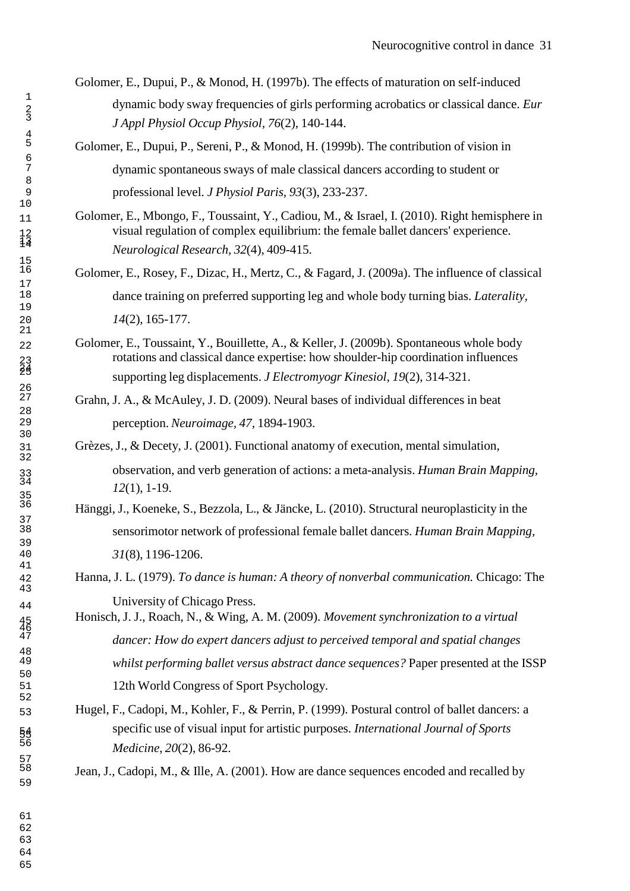Golomer, E., Dupui, P., & Monod, H. (1997b). The effects of maturation on self-induced dynamic body sway frequencies of girls performing acrobatics or classical dance. *Eur J Appl Physiol Occup Physiol, 76*(2), 140-144.

Golomer, E., Dupui, P., Sereni, P., & Monod, H. (1999b). The contribution of vision in dynamic spontaneous sways of male classical dancers according to student or professional level. *J Physiol Paris, 93*(3), 233-237.

- Golomer, E., Mbongo, F., Toussaint, Y., Cadiou, M., & Israel, I. (2010). Right hemisphere in visual regulation of complex equilibrium: the female ballet dancers' experience. *Neurological Research, 32*(4), 409-415.
	- Golomer, E., Rosey, F., Dizac, H., Mertz, C., & Fagard, J. (2009a). The influence of classical dance training on preferred supporting leg and whole body turning bias. *Laterality,* (2), 165-177.
- Golomer, E., Toussaint, Y., Bouillette, A., & Keller, J. (2009b). Spontaneous whole body rotations and classical dance expertise: how shoulder-hip coordination influences supporting leg displacements. *J Electromyogr Kinesiol, 19*(2), 314-321.
	- Grahn, J. A., & McAuley, J. D. (2009). Neural bases of individual differences in beat perception. *Neuroimage, 47,* 1894-1903.

Grèzes, J., & Decety, J. (2001). Functional anatomy of execution, mental simulation, observation, and verb generation of actions: a meta-analysis. *Human Brain Mapping, 12*(1), 1-19.

- Hänggi, J., Koeneke, S., Bezzola, L., & Jäncke, L. (2010). Structural neuroplasticity in the sensorimotor network of professional female ballet dancers. *Human Brain Mapping, 31*(8), 1196-1206.
- Hanna, J. L. (1979). *To dance is human: A theory of nonverbal communication.* Chicago: The University of Chicago Press.

 Honisch, J. J., Roach, N., & Wing, A. M. (2009). *Movement synchronization to a virtual dancer: How do expert dancers adjust to perceived temporal and spatial changes* whilst performing ballet versus abstract dance sequences? Paper presented at the ISSP 12th World Congress of Sport Psychology.

 Hugel, F., Cadopi, M., Kohler, F., & Perrin, P. (1999). Postural control of ballet dancers: a specific use of visual input for artistic purposes. *International Journal of Sports Medicine, 20*(2), 86-92.

Jean, J., Cadopi, M., & Ille, A. (2001). How are dance sequences encoded and recalled by

  $^{23}_{24}$ 35<br>36  $\frac{54}{56}$  $\begin{array}{c} 17 \\ 18 \end{array}$ 19<br>20  $\frac{26}{27}$ 28<br>29 31<br>32 37<br>38 39<br>40  $\begin{array}{c} 42 \\ 43 \end{array}$ <br> $47$  57<br>58 

 $\frac{2}{3}$ 

 $\begin{array}{c} 4 \\ 5 \end{array}$ 

 $\frac{1}{1}$ math>

 $\frac{15}{16}$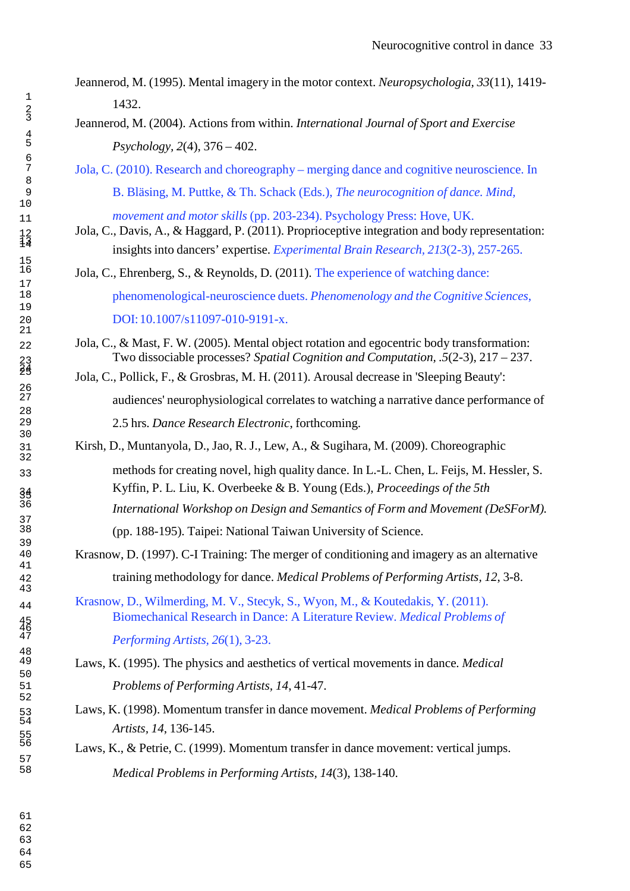- Jeannerod, M. (1995). Mental imagery in the motor context. *Neuropsychologia, 33*(11), 1419-  $\frac{1}{2}$  1432.
	- Jeannerod, M. (2004). Actions from within. *International Journal of Sport and Exercise Psychology, 2*(4), 376 – 402.
- Jola, C. (2010). Research and choreography merging dance and cognitive neuroscience. In B. Bläsing, M. Puttke, & Th. Schack (Eds.), *The neurocognition of dance. Mind,*
- *movement and motor skills* (pp. 203-234). Psychology Press: Hove, UK.
	- Jola, C., Davis, A., & Haggard, P. (2011). Proprioceptive integration and body representation: insights into dancers' expertise. *Experimental Brain Research, 213*(2-3), 257-265.
	- Jola, C., Ehrenberg, S., & Reynolds, D. (2011). The experience of watching dance: phenomenological-neuroscience duets. *Phenomenology and the Cognitive Sciences*, DOI: 10.1007/s11097-010-9191-x.
- 22 Jola, C., & Mast, F. W. (2005). Mental object rotation and egocentric body transformation: Two dissociable processes? *Spatial Cognition and Computation, .5*(2-3), 217 – 237.
	- Jola, C., Pollick, F., & Grosbras, M. H. (2011). Arousal decrease in 'Sleeping Beauty': audiences' neurophysiological correlates to watching a narrative dance performance of 2.5 hrs. *Dance Research Electronic*, forthcoming.
	- Kirsh, D., Muntanyola, D., Jao, R. J., Lew, A., & Sugihara, M. (2009). Choreographic
- methods for creating novel, high quality dance. In L.-L. Chen, L. Feijs, M. Hessler, S. Kyffin, P. L. Liu, K. Overbeeke & B. Young (Eds.), *Proceedings of the 5th International Workshop on Design and Semantics of Form and Movement (DeSForM).*
	- (pp. 188-195). Taipei: National Taiwan University of Science.
	- Krasnow, D. (1997). C-I Training: The merger of conditioning and imagery as an alternative training methodology for dance. *Medical Problems of Performing Artists, 12*, 3-8.
- Krasnow, D., Wilmerding, M. V., Stecyk, S., Wyon, M., & Koutedakis, Y. (2011). Biomechanical Research in Dance: A Literature Review. *Medical Problems of Performing Artists, 26*(1), 3-23.
- Laws, K. (1995). The physics and aesthetics of vertical movements in dance. *Medical Problems of Performing Artists, 14*, 41-47.
- Laws, K. (1998). Momentum transfer in dance movement. *Medical Problems of Performing Artists, 14*, 136-145.
	- Laws, K., & Petrie, C. (1999). Momentum transfer in dance movement: vertical jumps. *Medical Problems in Performing Artists, 14*(3), 138-140.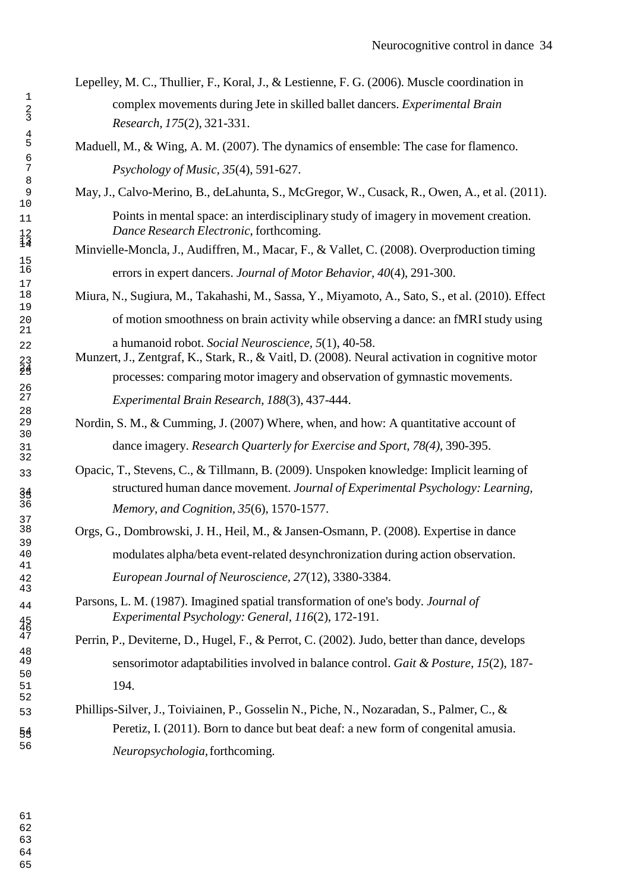Lepelley, M. C., Thullier, F., Koral, J., & Lestienne, F. G. (2006). Muscle coordination in complex movements during Jete in skilled ballet dancers. *Experimental Brain Research, 175*(2), 321-331.

Maduell, M., & Wing, A. M. (2007). The dynamics of ensemble: The case for flamenco. *Psychology of Music, 35*(4), 591-627.

May, J., Calvo-Merino, B., deLahunta, S., McGregor, W., Cusack, R., Owen, A., et al. (2011). Points in mental space: an interdisciplinary study of imagery in movement creation. *Dance Research Electronic*, forthcoming.

> Minvielle-Moncla, J., Audiffren, M., Macar, F., & Vallet, C. (2008). Overproduction timing errors in expert dancers. *Journal of Motor Behavior, 40*(4), 291-300.

Miura, N., Sugiura, M., Takahashi, M., Sassa, Y., Miyamoto, A., Sato, S., et al. (2010). Effect of motion smoothness on brain activity while observing a dance: an fMRI study using a humanoid robot. *Social Neuroscience, 5*(1), 40-58.

 Munzert, J., Zentgraf, K., Stark, R., & Vaitl, D. (2008). Neural activation in cognitive motor processes: comparing motor imagery and observation of gymnastic movements. *Experimental Brain Research, 188*(3), 437-444.

Nordin, S. M., & Cumming, J. (2007) Where, when, and how: A quantitative account of dance imagery. *Research Quarterly for Exercise and Sport, 78(4)*, 390-395.

 Opacic, T., Stevens, C., & Tillmann, B. (2009). Unspoken knowledge: Implicit learning of structured human dance movement. *Journal of Experimental Psychology: Learning, Memory, and Cognition, 35*(6), 1570-1577.

> Orgs, G., Dombrowski, J. H., Heil, M., & Jansen-Osmann, P. (2008). Expertise in dance modulates alpha/beta event-related desynchronization during action observation. *European Journal of Neuroscience, 27*(12), 3380-3384.

 Parsons, L. M. (1987). Imagined spatial transformation of one's body. *Journal of Experimental Psychology: General, 116*(2), 172-191.

Perrin, P., Deviterne, D., Hugel, F., & Perrot, C. (2002). Judo, better than dance, develops sensorimotor adaptabilities involved in balance control. *Gait & Posture, 15*(2), 187- 194.

 Phillips-Silver, J., Toiviainen, P., Gosselin N., Piche, N., Nozaradan, S., Palmer, C., & Peretiz, I. (2011). Born to dance but beat deaf: a new form of congenital amusia. *Neuropsychologia,* forthcoming.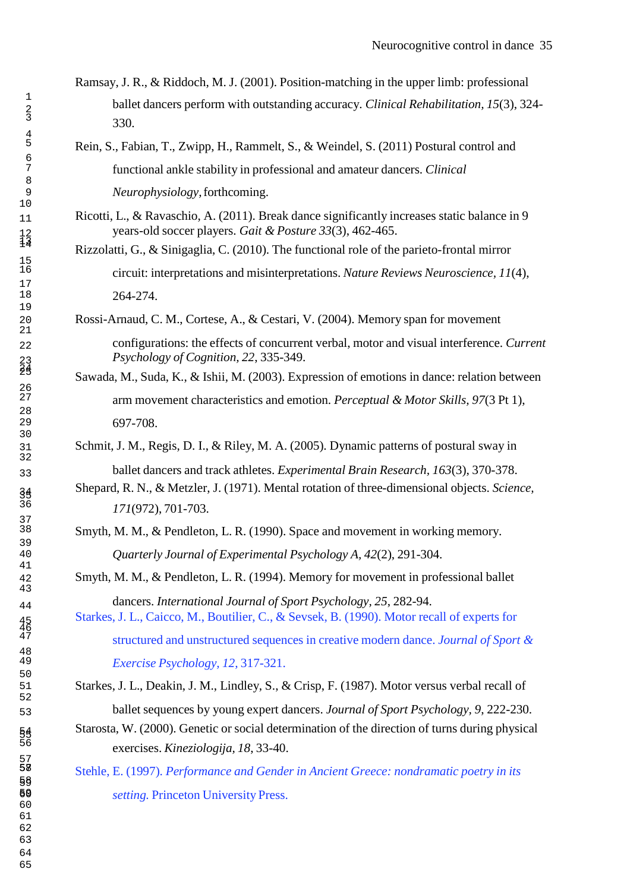- Ramsay, J. R., & Riddoch, M. J. (2001). Position-matching in the upper limb: professional <sup>1</sup>ballet dancers perform with outstanding accuracy. *Clinical Rehabilitation, 15*(3), 324- <sup>3</sup>330.
- 5 Rein, S., Fabian, T., Zwipp, H., Rammelt, S., & Weindel, S. (2011) Postural control and 7 functional ankle stability in professional and amateur dancers. *Clinical* 9 *Neurophysiology,* forthcoming.
- 11 Ricotti, L., & Ravaschio, A. (2011). Break dance significantly increases static balance in 9 years-old soccer players. *Gait & Posture 33*(3), 462-465.
	- Rizzolatti, G., & Sinigaglia, C. (2010). The functional role of the parieto-frontal mirror <sup>16</sup>circuit: interpretations and misinterpretations. *Nature Reviews Neuroscience, 11*(4), 264-274.
	- Rossi-Arnaud, C. M., Cortese, A., & Cestari, V. (2004). Memory span for movement
- 22 configurations: the effects of concurrent verbal, motor and visual interference. *Current* 23 *Psychology of Cognition, 22*, 335-349.
	- Sawada, M., Suda, K., & Ishii, M. (2003). Expression of emotions in dance: relation between 27 arm movement characteristics and emotion. *Perceptual & Motor Skills, 97*(3 Pt 1), 697-708.
- Schmit, J. M., Regis, D. I., & Riley, M. A. (2005). Dynamic patterns of postural sway in 33 ballet dancers and track athletes. *Experimental Brain Research, 163*(3), 370-378.
	- 34 Shepard, R. N., & Metzler, J. (1971). Mental rotation of three-dimensional objects. *Science,* <sup>36</sup>*171*(972), 701-703.
	- Smyth, M. M., & Pendleton, L. R. (1990). Space and movement in working memory. 40 *Quarterly Journal of Experimental Psychology A, 42*(2), 291-304.
- Smyth, M. M., & Pendleton, L. R. (1994). Memory for movement in professional ballet <sup>44</sup> dancers. *International Journal of Sport Psychology, 25*, 282-94.
	- Starkes, J. L., Caicco, M., Boutilier, C., & Sevsek, B. (1990). Motor recall of experts for <sup>47</sup>structured and unstructured sequences in creative modern dance. *Journal of Sport &* 49 *Exercise Psychology, 12,* 317-321.

51 Starkes, J. L., Deakin, J. M., Lindley, S., & Crisp, F. (1987). Motor versus verbal recall of 53 ballet sequences by young expert dancers. *Journal of Sport Psychology, 9*, 222-230.

- Starosta, W. (2000). Genetic or social determination of the direction of turns during physical <sup>56</sup>exercises. *Kineziologija, 18*, 33-40.
- <sup>58</sup>Stehle, E. (1997). *Performance and Gender in Ancient Greece: nondramatic poetry in its* setting. Princeton University Press.